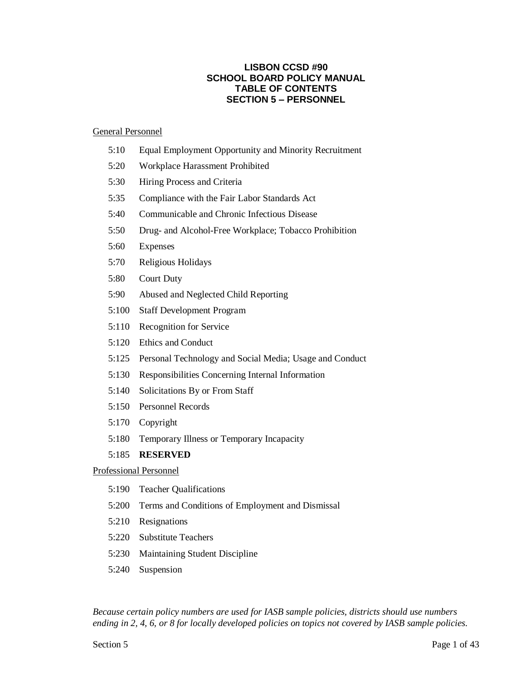## **LISBON CCSD #90 SCHOOL BOARD POLICY MANUAL TABLE OF CONTENTS SECTION 5 – PERSONNEL**

#### General Personnel

- 5:10 Equal Employment Opportunity and Minority Recruitment
- 5:20 Workplace Harassment Prohibited
- 5:30 Hiring Process and Criteria
- 5:35 Compliance with the Fair Labor Standards Act
- 5:40 Communicable and Chronic Infectious Disease
- 5:50 Drug- and Alcohol-Free Workplace; Tobacco Prohibition
- 5:60 Expenses
- 5:70 Religious Holidays
- 5:80 Court Duty
- 5:90 Abused and Neglected Child Reporting
- 5:100 Staff Development Program
- 5:110 Recognition for Service
- 5:120 Ethics and Conduct
- 5:125 Personal Technology and Social Media; Usage and Conduct
- 5:130 Responsibilities Concerning Internal Information
- 5:140 Solicitations By or From Staff
- 5:150 Personnel Records
- 5:170 Copyright
- 5:180 Temporary Illness or Temporary Incapacity
- 5:185 **RESERVED**

#### Professional Personnel

- 5:190 Teacher Qualifications
- 5:200 Terms and Conditions of Employment and Dismissal
- 5:210 Resignations
- 5:220 Substitute Teachers
- 5:230 Maintaining Student Discipline
- 5:240 Suspension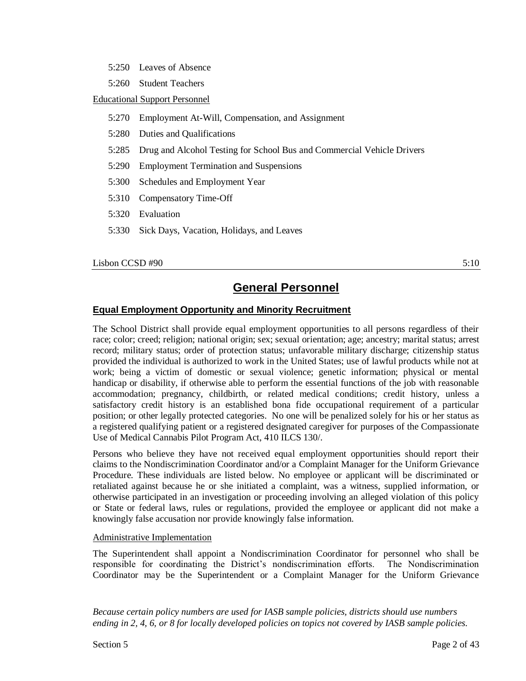- 5:250 Leaves of Absence
- 5:260 Student Teachers

#### Educational Support Personnel

- 5:270 Employment At-Will, Compensation, and Assignment
- 5:280 Duties and Qualifications
- 5:285 Drug and Alcohol Testing for School Bus and Commercial Vehicle Drivers
- 5:290 Employment Termination and Suspensions
- 5:300 Schedules and Employment Year
- 5:310 Compensatory Time-Off
- 5:320 Evaluation
- 5:330 Sick Days, Vacation, Holidays, and Leaves

 $\angle$ Lisbon CCSD #90 5:10

# **General Personnel**

#### **Equal Employment Opportunity and Minority Recruitment**

The School District shall provide equal employment opportunities to all persons regardless of their race; color; creed; religion; national origin; sex; sexual orientation; age; ancestry; marital status; arrest record; military status; order of protection status; unfavorable military discharge; citizenship status provided the individual is authorized to work in the United States; use of lawful products while not at work; being a victim of domestic or sexual violence; genetic information; physical or mental handicap or disability, if otherwise able to perform the essential functions of the job with reasonable accommodation; pregnancy, childbirth, or related medical conditions; credit history, unless a satisfactory credit history is an established bona fide occupational requirement of a particular position; or other legally protected categories. No one will be penalized solely for his or her status as a registered qualifying patient or a registered designated caregiver for purposes of the Compassionate Use of Medical Cannabis Pilot Program Act, 410 ILCS 130/.

Persons who believe they have not received equal employment opportunities should report their claims to the Nondiscrimination Coordinator and/or a Complaint Manager for the Uniform Grievance Procedure. These individuals are listed below. No employee or applicant will be discriminated or retaliated against because he or she initiated a complaint, was a witness, supplied information, or otherwise participated in an investigation or proceeding involving an alleged violation of this policy or State or federal laws, rules or regulations, provided the employee or applicant did not make a knowingly false accusation nor provide knowingly false information.

#### Administrative Implementation

The Superintendent shall appoint a Nondiscrimination Coordinator for personnel who shall be responsible for coordinating the District's nondiscrimination efforts. The Nondiscrimination Coordinator may be the Superintendent or a Complaint Manager for the Uniform Grievance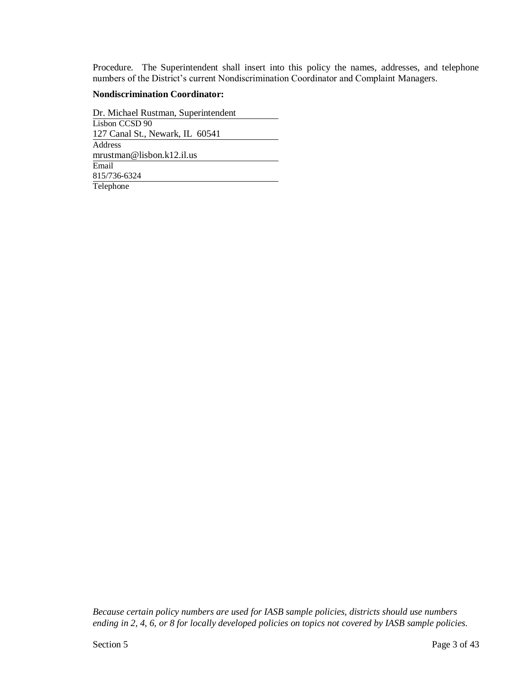Procedure. The Superintendent shall insert into this policy the names, addresses, and telephone numbers of the District's current Nondiscrimination Coordinator and Complaint Managers.

#### **Nondiscrimination Coordinator:**

Dr. Michael Rustman, Superintendent Lisbon CCSD 90 127 Canal St., Newark, IL 60541 Address mrustman@lisbon.k12.il.us Email 815/736-6324 Telephone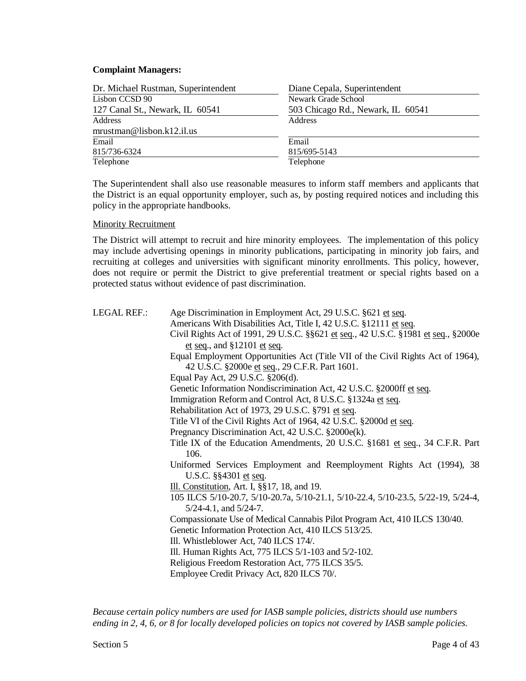#### **Complaint Managers:**

| Dr. Michael Rustman, Superintendent | Diane Cepala, Superintendent      |  |
|-------------------------------------|-----------------------------------|--|
| Lisbon CCSD 90                      | Newark Grade School               |  |
| 127 Canal St., Newark, IL 60541     | 503 Chicago Rd., Newark, IL 60541 |  |
| Address                             | Address                           |  |
| mrustman@lisbon.k12.il.us           |                                   |  |
| Email                               | Email                             |  |
| 815/736-6324                        | 815/695-5143                      |  |
| Telephone                           | Telephone                         |  |

The Superintendent shall also use reasonable measures to inform staff members and applicants that the District is an equal opportunity employer, such as, by posting required notices and including this policy in the appropriate handbooks.

#### Minority Recruitment

The District will attempt to recruit and hire minority employees. The implementation of this policy may include advertising openings in minority publications, participating in minority job fairs, and recruiting at colleges and universities with significant minority enrollments. This policy, however, does not require or permit the District to give preferential treatment or special rights based on a protected status without evidence of past discrimination.

| <b>LEGAL REF.:</b> | Age Discrimination in Employment Act, 29 U.S.C. §621 et seq.                       |
|--------------------|------------------------------------------------------------------------------------|
|                    | Americans With Disabilities Act, Title I, 42 U.S.C. §12111 et seq.                 |
|                    | Civil Rights Act of 1991, 29 U.S.C. §§621 et seq., 42 U.S.C. §1981 et seq., §2000e |
|                    | et seq., and $$12101$ et seq.                                                      |
|                    | Equal Employment Opportunities Act (Title VII of the Civil Rights Act of 1964),    |
|                    | 42 U.S.C. §2000e et seq., 29 C.F.R. Part 1601.                                     |
|                    | Equal Pay Act, 29 U.S.C. §206(d).                                                  |
|                    | Genetic Information Nondiscrimination Act, 42 U.S.C. §2000ff et seq.               |
|                    | Immigration Reform and Control Act, 8 U.S.C. §1324a et seq.                        |
|                    | Rehabilitation Act of 1973, 29 U.S.C. §791 et seq.                                 |
|                    | Title VI of the Civil Rights Act of 1964, 42 U.S.C. §2000d et seq.                 |
|                    | Pregnancy Discrimination Act, 42 U.S.C. §2000e(k).                                 |
|                    | Title IX of the Education Amendments, 20 U.S.C. §1681 et seq., 34 C.F.R. Part      |
|                    | 106.                                                                               |
|                    | Uniformed Services Employment and Reemployment Rights Act (1994), 38               |
|                    | U.S.C. §§4301 et seq.                                                              |
|                    | Ill. Constitution, Art. I, §§17, 18, and 19.                                       |
|                    | 105 ILCS 5/10-20.7, 5/10-20.7a, 5/10-21.1, 5/10-22.4, 5/10-23.5, 5/22-19, 5/24-4,  |
|                    | $5/24-4.1$ , and $5/24-7$ .                                                        |
|                    | Compassionate Use of Medical Cannabis Pilot Program Act, 410 ILCS 130/40.          |
|                    | Genetic Information Protection Act, 410 ILCS 513/25.                               |
|                    | Ill. Whistleblower Act, 740 ILCS 174/.                                             |
|                    | Ill. Human Rights Act, 775 ILCS 5/1-103 and 5/2-102.                               |
|                    | Religious Freedom Restoration Act, 775 ILCS 35/5.                                  |
|                    | Employee Credit Privacy Act, 820 ILCS 70/.                                         |

*Because certain policy numbers are used for IASB sample policies, districts should use numbers ending in 2, 4, 6, or 8 for locally developed policies on topics not covered by IASB sample policies.*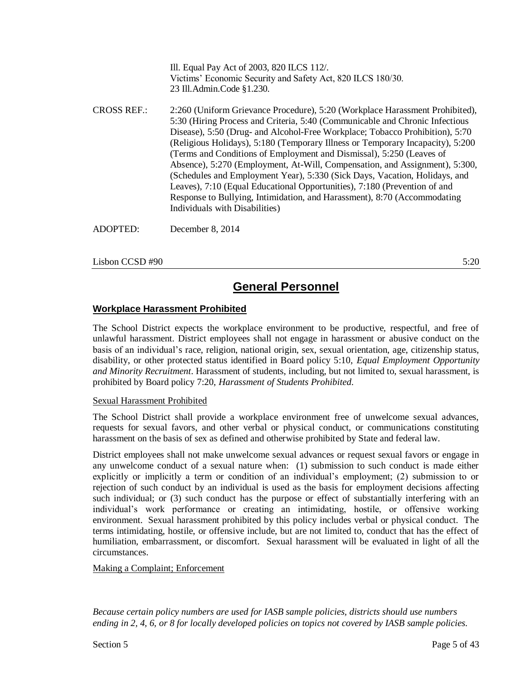Ill. Equal Pay Act of 2003, 820 ILCS 112/. Victims' Economic Security and Safety Act, 820 ILCS 180/30. 23 Ill.Admin.Code §1.230.

CROSS REF.: 2:260 (Uniform Grievance Procedure), 5:20 (Workplace Harassment Prohibited), 5:30 (Hiring Process and Criteria, 5:40 (Communicable and Chronic Infectious Disease), 5:50 (Drug- and Alcohol-Free Workplace; Tobacco Prohibition), 5:70 (Religious Holidays), 5:180 (Temporary Illness or Temporary Incapacity), 5:200 (Terms and Conditions of Employment and Dismissal), 5:250 (Leaves of Absence), 5:270 (Employment, At-Will, Compensation, and Assignment), 5:300, (Schedules and Employment Year), 5:330 (Sick Days, Vacation, Holidays, and Leaves), 7:10 (Equal Educational Opportunities), 7:180 (Prevention of and Response to Bullying, Intimidation, and Harassment), 8:70 (Accommodating Individuals with Disabilities)

ADOPTED: December 8, 2014

 $\sim$  5:20 5:20 5:20

## **General Personnel**

### **Workplace Harassment Prohibited**

The School District expects the workplace environment to be productive, respectful, and free of unlawful harassment. District employees shall not engage in harassment or abusive conduct on the basis of an individual's race, religion, national origin, sex, sexual orientation, age, citizenship status, disability, or other protected status identified in Board policy 5:10, *Equal Employment Opportunity and Minority Recruitment*. Harassment of students, including, but not limited to, sexual harassment, is prohibited by Board policy 7:20, *Harassment of Students Prohibited*.

#### Sexual Harassment Prohibited

The School District shall provide a workplace environment free of unwelcome sexual advances, requests for sexual favors, and other verbal or physical conduct, or communications constituting harassment on the basis of sex as defined and otherwise prohibited by State and federal law.

District employees shall not make unwelcome sexual advances or request sexual favors or engage in any unwelcome conduct of a sexual nature when: (1) submission to such conduct is made either explicitly or implicitly a term or condition of an individual's employment; (2) submission to or rejection of such conduct by an individual is used as the basis for employment decisions affecting such individual; or (3) such conduct has the purpose or effect of substantially interfering with an individual's work performance or creating an intimidating, hostile, or offensive working environment. Sexual harassment prohibited by this policy includes verbal or physical conduct. The terms intimidating, hostile, or offensive include, but are not limited to, conduct that has the effect of humiliation, embarrassment, or discomfort. Sexual harassment will be evaluated in light of all the circumstances.

#### Making a Complaint; Enforcement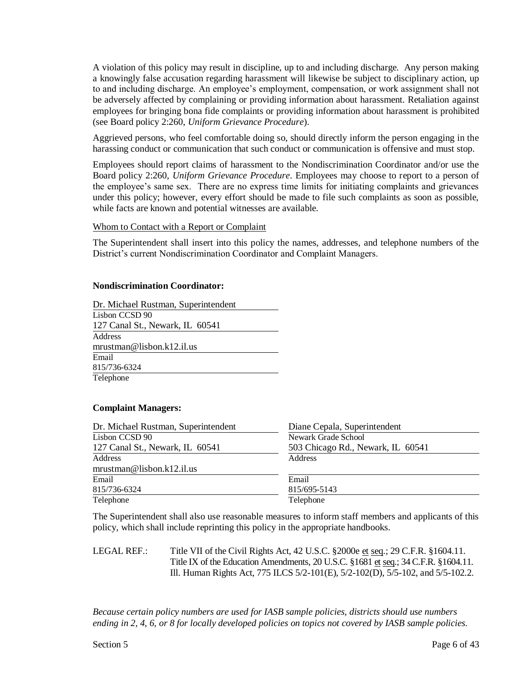A violation of this policy may result in discipline, up to and including discharge. Any person making a knowingly false accusation regarding harassment will likewise be subject to disciplinary action, up to and including discharge. An employee's employment, compensation, or work assignment shall not be adversely affected by complaining or providing information about harassment. Retaliation against employees for bringing bona fide complaints or providing information about harassment is prohibited (see Board policy 2:260, *Uniform Grievance Procedure*).

Aggrieved persons, who feel comfortable doing so, should directly inform the person engaging in the harassing conduct or communication that such conduct or communication is offensive and must stop.

Employees should report claims of harassment to the Nondiscrimination Coordinator and/or use the Board policy 2:260, *Uniform Grievance Procedure*. Employees may choose to report to a person of the employee's same sex. There are no express time limits for initiating complaints and grievances under this policy; however, every effort should be made to file such complaints as soon as possible, while facts are known and potential witnesses are available.

#### Whom to Contact with a Report or Complaint

The Superintendent shall insert into this policy the names, addresses, and telephone numbers of the District's current Nondiscrimination Coordinator and Complaint Managers.

#### **Nondiscrimination Coordinator:**

| Dr. Michael Rustman, Superintendent |
|-------------------------------------|
| Lisbon CCSD 90                      |
| 127 Canal St., Newark, IL 60541     |
| Address                             |
| mrustman@lisbon.k12.il.us           |
| Email                               |
| 815/736-6324                        |
|                                     |

#### **Complaint Managers:**

| Dr. Michael Rustman, Superintendent | Diane Cepala, Superintendent      |  |
|-------------------------------------|-----------------------------------|--|
| Lisbon CCSD 90                      | Newark Grade School               |  |
| 127 Canal St., Newark, IL 60541     | 503 Chicago Rd., Newark, IL 60541 |  |
| <b>Address</b>                      | Address                           |  |
| mrustman@lisbon.k12.il.us           |                                   |  |
| Email                               | Email                             |  |
| 815/736-6324                        | 815/695-5143                      |  |
| Telephone                           | Telephone                         |  |

The Superintendent shall also use reasonable measures to inform staff members and applicants of this policy, which shall include reprinting this policy in the appropriate handbooks.

LEGAL REF.: Title VII of the Civil Rights Act, 42 U.S.C. §2000e et seq.; 29 C.F.R. §1604.11. Title IX of the Education Amendments, 20 U.S.C. §1681 et seq.; 34 C.F.R. §1604.11. Ill. Human Rights Act, 775 ILCS 5/2-101(E), 5/2-102(D), 5/5-102, and 5/5-102.2.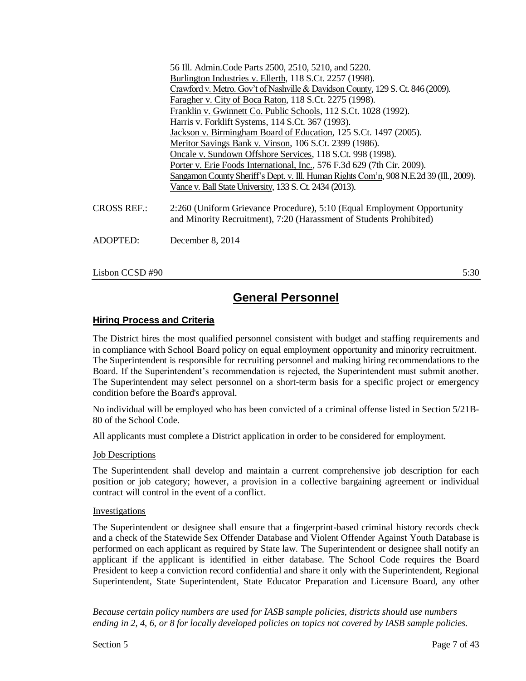|                    | 56 Ill. Admin. Code Parts 2500, 2510, 5210, and 5220.<br>Burlington Industries v. Ellerth, 118 S.Ct. 2257 (1998).<br>Crawford v. Metro. Gov't of Nashville & Davidson County, 129 S. Ct. 846 (2009).<br>Faragher v. City of Boca Raton, 118 S.Ct. 2275 (1998). |
|--------------------|----------------------------------------------------------------------------------------------------------------------------------------------------------------------------------------------------------------------------------------------------------------|
|                    | Franklin v. Gwinnett Co. Public Schools, 112 S.Ct. 1028 (1992).                                                                                                                                                                                                |
|                    | Harris v. Forklift Systems, 114 S.Ct. 367 (1993).                                                                                                                                                                                                              |
|                    | Jackson v. Birmingham Board of Education, 125 S.Ct. 1497 (2005).                                                                                                                                                                                               |
|                    | Meritor Savings Bank v. Vinson, 106 S.Ct. 2399 (1986).                                                                                                                                                                                                         |
|                    | Oncale v. Sundown Offshore Services, 118 S.Ct. 998 (1998).                                                                                                                                                                                                     |
|                    | Porter v. Erie Foods International, Inc., 576 F.3d 629 (7th Cir. 2009).                                                                                                                                                                                        |
|                    | Sangamon County Sheriff's Dept. v. Ill. Human Rights Com'n, 908 N.E.2d 39 (Ill., 2009).                                                                                                                                                                        |
|                    | Vance v. Ball State University, 133 S. Ct. 2434 (2013).                                                                                                                                                                                                        |
| <b>CROSS REF.:</b> | 2:260 (Uniform Grievance Procedure), 5:10 (Equal Employment Opportunity<br>and Minority Recruitment), 7:20 (Harassment of Students Prohibited)                                                                                                                 |
| ADOPTED:           | December $8, 2014$                                                                                                                                                                                                                                             |
|                    |                                                                                                                                                                                                                                                                |

 $\sim$  5:30 5:30 5:30

# **General Personnel**

## **Hiring Process and Criteria**

The District hires the most qualified personnel consistent with budget and staffing requirements and in compliance with School Board policy on equal employment opportunity and minority recruitment. The Superintendent is responsible for recruiting personnel and making hiring recommendations to the Board. If the Superintendent's recommendation is rejected, the Superintendent must submit another. The Superintendent may select personnel on a short-term basis for a specific project or emergency condition before the Board's approval.

No individual will be employed who has been convicted of a criminal offense listed in Section 5/21B-80 of the School Code.

All applicants must complete a District application in order to be considered for employment.

### **Job Descriptions**

The Superintendent shall develop and maintain a current comprehensive job description for each position or job category; however, a provision in a collective bargaining agreement or individual contract will control in the event of a conflict.

#### Investigations

The Superintendent or designee shall ensure that a fingerprint-based criminal history records check and a check of the Statewide Sex Offender Database and Violent Offender Against Youth Database is performed on each applicant as required by State law. The Superintendent or designee shall notify an applicant if the applicant is identified in either database. The School Code requires the Board President to keep a conviction record confidential and share it only with the Superintendent, Regional Superintendent, State Superintendent, State Educator Preparation and Licensure Board, any other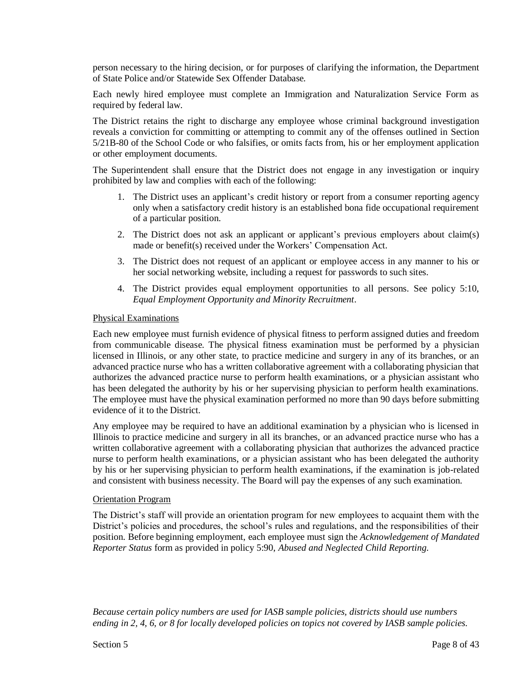person necessary to the hiring decision, or for purposes of clarifying the information, the Department of State Police and/or Statewide Sex Offender Database.

Each newly hired employee must complete an Immigration and Naturalization Service Form as required by federal law.

The District retains the right to discharge any employee whose criminal background investigation reveals a conviction for committing or attempting to commit any of the offenses outlined in Section 5/21B-80 of the School Code or who falsifies, or omits facts from, his or her employment application or other employment documents.

The Superintendent shall ensure that the District does not engage in any investigation or inquiry prohibited by law and complies with each of the following:

- 1. The District uses an applicant's credit history or report from a consumer reporting agency only when a satisfactory credit history is an established bona fide occupational requirement of a particular position.
- 2. The District does not ask an applicant or applicant's previous employers about claim(s) made or benefit(s) received under the Workers' Compensation Act.
- 3. The District does not request of an applicant or employee access in any manner to his or her social networking website, including a request for passwords to such sites.
- 4. The District provides equal employment opportunities to all persons. See policy 5:10, *Equal Employment Opportunity and Minority Recruitment*.

#### Physical Examinations

Each new employee must furnish evidence of physical fitness to perform assigned duties and freedom from communicable disease. The physical fitness examination must be performed by a physician licensed in Illinois, or any other state, to practice medicine and surgery in any of its branches, or an advanced practice nurse who has a written collaborative agreement with a collaborating physician that authorizes the advanced practice nurse to perform health examinations, or a physician assistant who has been delegated the authority by his or her supervising physician to perform health examinations. The employee must have the physical examination performed no more than 90 days before submitting evidence of it to the District.

Any employee may be required to have an additional examination by a physician who is licensed in Illinois to practice medicine and surgery in all its branches, or an advanced practice nurse who has a written collaborative agreement with a collaborating physician that authorizes the advanced practice nurse to perform health examinations, or a physician assistant who has been delegated the authority by his or her supervising physician to perform health examinations, if the examination is job-related and consistent with business necessity. The Board will pay the expenses of any such examination.

#### Orientation Program

The District's staff will provide an orientation program for new employees to acquaint them with the District's policies and procedures, the school's rules and regulations, and the responsibilities of their position. Before beginning employment, each employee must sign the *Acknowledgement of Mandated Reporter Status* form as provided in policy 5:90, *Abused and Neglected Child Reporting*.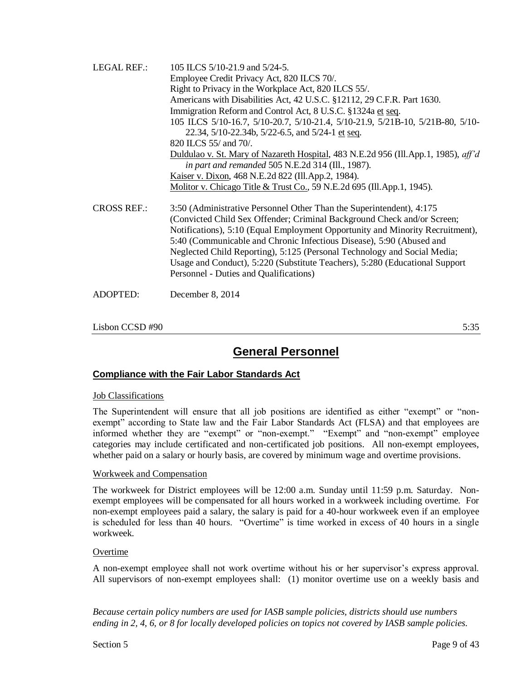| <b>LEGAL REF.:</b> | 105 ILCS 5/10-21.9 and 5/24-5.                                                     |
|--------------------|------------------------------------------------------------------------------------|
|                    | Employee Credit Privacy Act, 820 ILCS 70/.                                         |
|                    | Right to Privacy in the Workplace Act, 820 ILCS 55/.                               |
|                    | Americans with Disabilities Act, 42 U.S.C. §12112, 29 C.F.R. Part 1630.            |
|                    | Immigration Reform and Control Act, 8 U.S.C. §1324a et seq.                        |
|                    | 105 ILCS 5/10-16.7, 5/10-20.7, 5/10-21.4, 5/10-21.9, 5/21B-10, 5/21B-80, 5/10-     |
|                    | 22.34, 5/10-22.34b, 5/22-6.5, and 5/24-1 et seq.                                   |
|                    | 820 ILCS 55/ and 70/.                                                              |
|                    | Duldulao v. St. Mary of Nazareth Hospital, 483 N.E.2d 956 (Ill.App.1, 1985), aff'd |
|                    | in part and remanded 505 N.E.2d 314 (Ill., 1987).                                  |
|                    | Kaiser v. Dixon, 468 N.E.2d 822 (Ill.App.2, 1984).                                 |
|                    | <u>Molitor v. Chicago Title &amp; Trust Co.</u> , 59 N.E.2d 695 (Ill.App.1, 1945). |
|                    |                                                                                    |
| <b>CROSS REF.:</b> | 3:50 (Administrative Personnel Other Than the Superintendent), 4:175               |
|                    | (Convicted Child Sex Offender; Criminal Background Check and/or Screen;            |
|                    | Notifications), 5:10 (Equal Employment Opportunity and Minority Recruitment),      |
|                    | 5:40 (Communicable and Chronic Infectious Disease), 5:90 (Abused and               |
|                    | Neglected Child Reporting), 5:125 (Personal Technology and Social Media;           |
|                    | Usage and Conduct), 5:220 (Substitute Teachers), 5:280 (Educational Support        |
|                    | Personnel - Duties and Qualifications)                                             |
| ADOPTED:           | December 8, 2014                                                                   |
|                    |                                                                                    |
|                    |                                                                                    |

 $\sim$  5:35  $\sim$  5:35

# **General Personnel**

## **Compliance with the Fair Labor Standards Act**

#### Job Classifications

The Superintendent will ensure that all job positions are identified as either "exempt" or "nonexempt" according to State law and the Fair Labor Standards Act (FLSA) and that employees are informed whether they are "exempt" or "non-exempt." "Exempt" and "non-exempt" employee categories may include certificated and non-certificated job positions. All non-exempt employees, whether paid on a salary or hourly basis, are covered by minimum wage and overtime provisions.

#### Workweek and Compensation

The workweek for District employees will be 12:00 a.m. Sunday until 11:59 p.m. Saturday. Nonexempt employees will be compensated for all hours worked in a workweek including overtime. For non-exempt employees paid a salary, the salary is paid for a 40-hour workweek even if an employee is scheduled for less than 40 hours. "Overtime" is time worked in excess of 40 hours in a single workweek.

#### Overtime

A non-exempt employee shall not work overtime without his or her supervisor's express approval. All supervisors of non-exempt employees shall: (1) monitor overtime use on a weekly basis and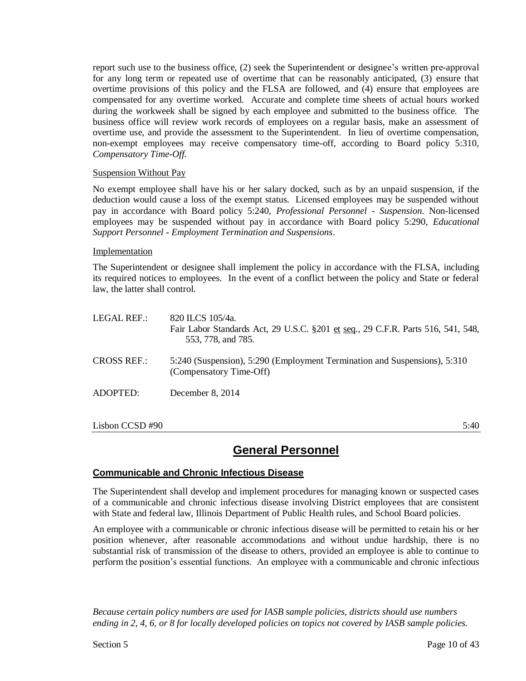report such use to the business office, (2) seek the Superintendent or designee's written pre-approval for any long term or repeated use of overtime that can be reasonably anticipated, (3) ensure that overtime provisions of this policy and the FLSA are followed, and (4) ensure that employees are compensated for any overtime worked. Accurate and complete time sheets of actual hours worked during the workweek shall be signed by each employee and submitted to the business office. The business office will review work records of employees on a regular basis, make an assessment of overtime use, and provide the assessment to the Superintendent. In lieu of overtime compensation, non-exempt employees may receive compensatory time-off, according to Board policy 5:310, *Compensatory Time-Off.*

#### Suspension Without Pay

No exempt employee shall have his or her salary docked, such as by an unpaid suspension, if the deduction would cause a loss of the exempt status. Licensed employees may be suspended without pay in accordance with Board policy 5:240, *Professional Personnel - Suspension*. Non-licensed employees may be suspended without pay in accordance with Board policy 5:290, *Educational Support Personnel - Employment Termination and Suspensions*.

#### Implementation

The Superintendent or designee shall implement the policy in accordance with the FLSA, including its required notices to employees. In the event of a conflict between the policy and State or federal law, the latter shall control.

| LEGAL REF.:        | 820 ILCS 105/4a.<br>Fair Labor Standards Act, 29 U.S.C. §201 et seq., 29 C.F.R. Parts 516, 541, 548,<br>553, 778, and 785. |
|--------------------|----------------------------------------------------------------------------------------------------------------------------|
| <b>CROSS REF.:</b> | 5:240 (Suspension), 5:290 (Employment Termination and Suspensions), 5:310<br>(Compensatory Time-Off)                       |
| ADOPTED:           | December 8, 2014                                                                                                           |

 $\sim$  5:40 5:40 5:40

## **General Personnel**

## **Communicable and Chronic Infectious Disease**

The Superintendent shall develop and implement procedures for managing known or suspected cases of a communicable and chronic infectious disease involving District employees that are consistent with State and federal law, Illinois Department of Public Health rules, and School Board policies.

An employee with a communicable or chronic infectious disease will be permitted to retain his or her position whenever, after reasonable accommodations and without undue hardship, there is no substantial risk of transmission of the disease to others, provided an employee is able to continue to perform the position's essential functions. An employee with a communicable and chronic infectious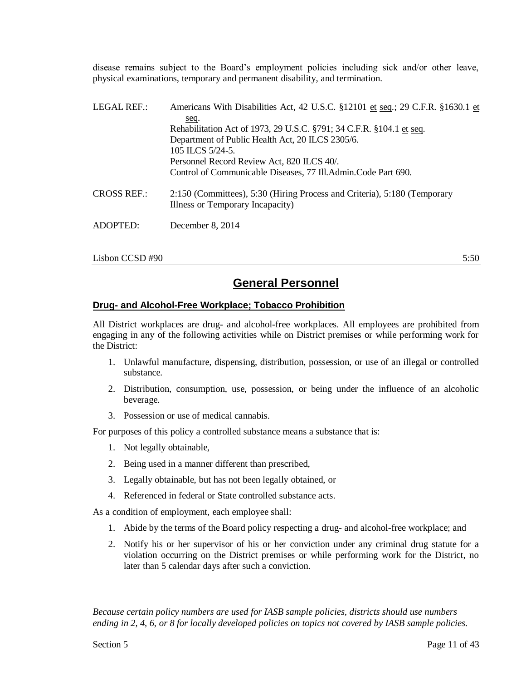disease remains subject to the Board's employment policies including sick and/or other leave, physical examinations, temporary and permanent disability, and termination.

| LEGAL REF.:        | Americans With Disabilities Act, 42 U.S.C. §12101 et seq.; 29 C.F.R. §1630.1 et                              |
|--------------------|--------------------------------------------------------------------------------------------------------------|
|                    | seq.<br>Rehabilitation Act of 1973, 29 U.S.C. §791; 34 C.F.R. §104.1 et seq.                                 |
|                    | Department of Public Health Act, 20 ILCS 2305/6.                                                             |
|                    | 105 ILCS 5/24-5.                                                                                             |
|                    | Personnel Record Review Act, 820 ILCS 40/.                                                                   |
|                    | Control of Communicable Diseases, 77 Ill. Admin. Code Part 690.                                              |
| <b>CROSS REF.:</b> | 2:150 (Committees), 5:30 (Hiring Process and Criteria), 5:180 (Temporary<br>Illness or Temporary Incapacity) |
| ADOPTED:           | December 8, 2014                                                                                             |

 $\sim$  5:50  $\sim$  5:50

## **General Personnel**

#### **Drug- and Alcohol-Free Workplace; Tobacco Prohibition**

All District workplaces are drug- and alcohol-free workplaces. All employees are prohibited from engaging in any of the following activities while on District premises or while performing work for the District:

- 1. Unlawful manufacture, dispensing, distribution, possession, or use of an illegal or controlled substance.
- 2. Distribution, consumption, use, possession, or being under the influence of an alcoholic beverage.
- 3. Possession or use of medical cannabis.

For purposes of this policy a controlled substance means a substance that is:

- 1. Not legally obtainable,
- 2. Being used in a manner different than prescribed,
- 3. Legally obtainable, but has not been legally obtained, or
- 4. Referenced in federal or State controlled substance acts.

As a condition of employment, each employee shall:

- 1. Abide by the terms of the Board policy respecting a drug- and alcohol-free workplace; and
- 2. Notify his or her supervisor of his or her conviction under any criminal drug statute for a violation occurring on the District premises or while performing work for the District, no later than 5 calendar days after such a conviction.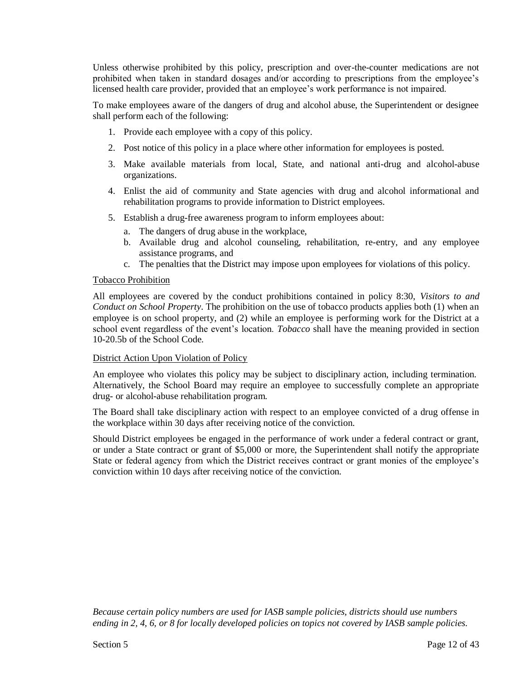Unless otherwise prohibited by this policy, prescription and over-the-counter medications are not prohibited when taken in standard dosages and/or according to prescriptions from the employee's licensed health care provider, provided that an employee's work performance is not impaired.

To make employees aware of the dangers of drug and alcohol abuse, the Superintendent or designee shall perform each of the following:

- 1. Provide each employee with a copy of this policy.
- 2. Post notice of this policy in a place where other information for employees is posted.
- 3. Make available materials from local, State, and national anti-drug and alcohol-abuse organizations.
- 4. Enlist the aid of community and State agencies with drug and alcohol informational and rehabilitation programs to provide information to District employees.
- 5. Establish a drug-free awareness program to inform employees about:
	- a. The dangers of drug abuse in the workplace,
	- b. Available drug and alcohol counseling, rehabilitation, re-entry, and any employee assistance programs, and
	- c. The penalties that the District may impose upon employees for violations of this policy.

#### Tobacco Prohibition

All employees are covered by the conduct prohibitions contained in policy 8:30, *Visitors to and Conduct on School Property*. The prohibition on the use of tobacco products applies both (1) when an employee is on school property, and (2) while an employee is performing work for the District at a school event regardless of the event's location. *Tobacco* shall have the meaning provided in section 10-20.5b of the School Code.

#### District Action Upon Violation of Policy

An employee who violates this policy may be subject to disciplinary action, including termination. Alternatively, the School Board may require an employee to successfully complete an appropriate drug- or alcohol-abuse rehabilitation program.

The Board shall take disciplinary action with respect to an employee convicted of a drug offense in the workplace within 30 days after receiving notice of the conviction.

Should District employees be engaged in the performance of work under a federal contract or grant, or under a State contract or grant of \$5,000 or more, the Superintendent shall notify the appropriate State or federal agency from which the District receives contract or grant monies of the employee's conviction within 10 days after receiving notice of the conviction.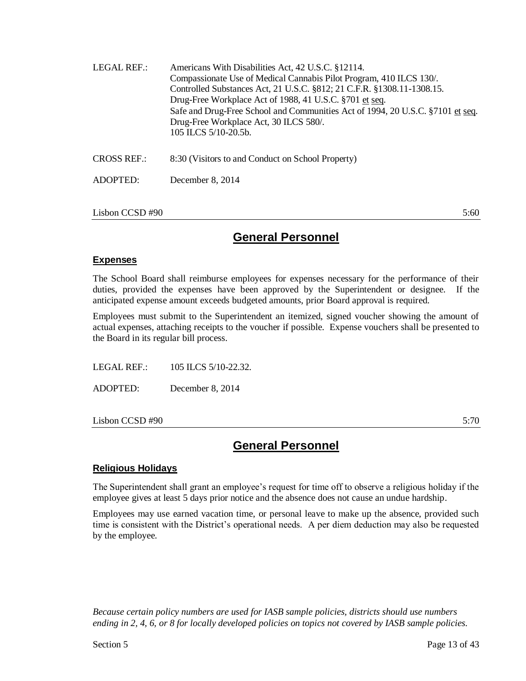| LEGAL REF.:        | Americans With Disabilities Act, 42 U.S.C. §12114.<br>Compassionate Use of Medical Cannabis Pilot Program, 410 ILCS 130/.<br>Controlled Substances Act, 21 U.S.C. §812; 21 C.F.R. §1308.11-1308.15.<br>Drug-Free Workplace Act of 1988, 41 U.S.C. §701 et seq.<br>Safe and Drug-Free School and Communities Act of 1994, 20 U.S.C. §7101 et seq.<br>Drug-Free Workplace Act, 30 ILCS 580/.<br>105 ILCS 5/10-20.5b. |
|--------------------|--------------------------------------------------------------------------------------------------------------------------------------------------------------------------------------------------------------------------------------------------------------------------------------------------------------------------------------------------------------------------------------------------------------------|
| <b>CROSS REF.:</b> | 8:30 (Visitors to and Conduct on School Property)                                                                                                                                                                                                                                                                                                                                                                  |
| ADOPTED:           | December $8, 2014$                                                                                                                                                                                                                                                                                                                                                                                                 |

 $\sim$  5:60 5:60 5:60

## **General Personnel**

#### **Expenses**

The School Board shall reimburse employees for expenses necessary for the performance of their duties, provided the expenses have been approved by the Superintendent or designee. If the anticipated expense amount exceeds budgeted amounts, prior Board approval is required.

Employees must submit to the Superintendent an itemized, signed voucher showing the amount of actual expenses, attaching receipts to the voucher if possible. Expense vouchers shall be presented to the Board in its regular bill process.

LEGAL REF.: 105 ILCS 5/10-22.32.

ADOPTED: December 8, 2014

 $\sim$  5:70 5:70

## **General Personnel**

## **Religious Holidays**

The Superintendent shall grant an employee's request for time off to observe a religious holiday if the employee gives at least 5 days prior notice and the absence does not cause an undue hardship.

Employees may use earned vacation time, or personal leave to make up the absence, provided such time is consistent with the District's operational needs. A per diem deduction may also be requested by the employee.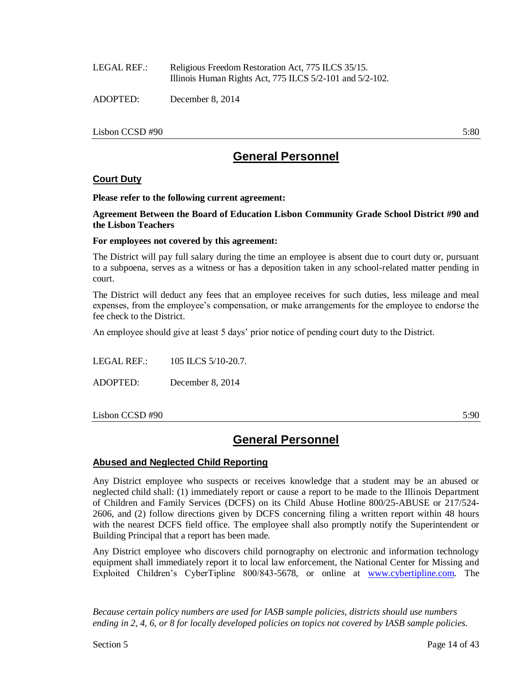| LEGAL REF.: | Religious Freedom Restoration Act, 775 ILCS 35/15.       |
|-------------|----------------------------------------------------------|
|             | Illinois Human Rights Act, 775 ILCS 5/2-101 and 5/2-102. |
|             |                                                          |

ADOPTED: December 8, 2014

 $\sim$  5:80 5:80 5:80

## **General Personnel**

### **Court Duty**

**Please refer to the following current agreement:**

**Agreement Between the Board of Education Lisbon Community Grade School District #90 and the Lisbon Teachers**

#### **For employees not covered by this agreement:**

The District will pay full salary during the time an employee is absent due to court duty or, pursuant to a subpoena, serves as a witness or has a deposition taken in any school-related matter pending in court.

The District will deduct any fees that an employee receives for such duties, less mileage and meal expenses, from the employee's compensation, or make arrangements for the employee to endorse the fee check to the District.

An employee should give at least 5 days' prior notice of pending court duty to the District.

LEGAL REF $\cdot$  105 ILCS 5/10-20.7.

ADOPTED: December 8, 2014

Lisbon CCSD #90 5:90

## **General Personnel**

#### **Abused and Neglected Child Reporting**

Any District employee who suspects or receives knowledge that a student may be an abused or neglected child shall: (1) immediately report or cause a report to be made to the Illinois Department of Children and Family Services (DCFS) on its Child Abuse Hotline 800/25-ABUSE or 217/524- 2606, and (2) follow directions given by DCFS concerning filing a written report within 48 hours with the nearest DCFS field office. The employee shall also promptly notify the Superintendent or Building Principal that a report has been made.

Any District employee who discovers child pornography on electronic and information technology equipment shall immediately report it to local law enforcement, the National Center for Missing and Exploited Children's CyberTipline 800/843-5678, or online at [www.cybertipline.com.](http://www.cybertipline.com/) The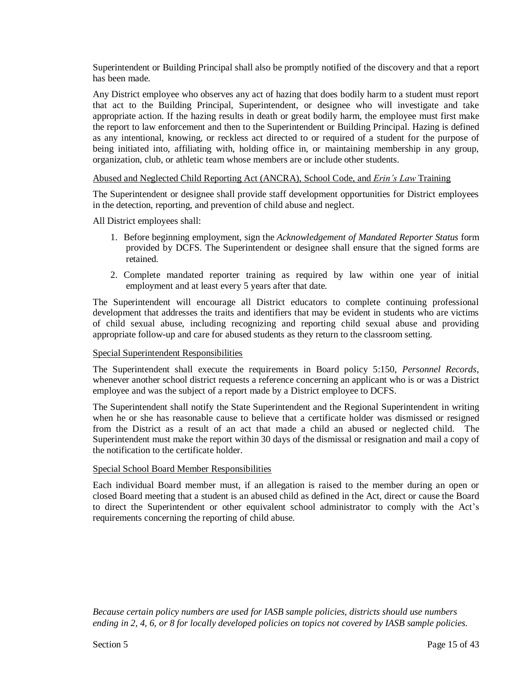Superintendent or Building Principal shall also be promptly notified of the discovery and that a report has been made.

Any District employee who observes any act of hazing that does bodily harm to a student must report that act to the Building Principal, Superintendent, or designee who will investigate and take appropriate action. If the hazing results in death or great bodily harm, the employee must first make the report to law enforcement and then to the Superintendent or Building Principal. Hazing is defined as any intentional, knowing, or reckless act directed to or required of a student for the purpose of being initiated into, affiliating with, holding office in, or maintaining membership in any group, organization, club, or athletic team whose members are or include other students.

#### Abused and Neglected Child Reporting Act (ANCRA), School Code, and *Erin's Law* Training

The Superintendent or designee shall provide staff development opportunities for District employees in the detection, reporting, and prevention of child abuse and neglect.

All District employees shall:

- 1. Before beginning employment, sign the *Acknowledgement of Mandated Reporter Status* form provided by DCFS. The Superintendent or designee shall ensure that the signed forms are retained.
- 2. Complete mandated reporter training as required by law within one year of initial employment and at least every 5 years after that date.

The Superintendent will encourage all District educators to complete continuing professional development that addresses the traits and identifiers that may be evident in students who are victims of child sexual abuse, including recognizing and reporting child sexual abuse and providing appropriate follow-up and care for abused students as they return to the classroom setting.

#### Special Superintendent Responsibilities

The Superintendent shall execute the requirements in Board policy 5:150, *Personnel Records*, whenever another school district requests a reference concerning an applicant who is or was a District employee and was the subject of a report made by a District employee to DCFS.

The Superintendent shall notify the State Superintendent and the Regional Superintendent in writing when he or she has reasonable cause to believe that a certificate holder was dismissed or resigned from the District as a result of an act that made a child an abused or neglected child. The Superintendent must make the report within 30 days of the dismissal or resignation and mail a copy of the notification to the certificate holder.

#### Special School Board Member Responsibilities

Each individual Board member must, if an allegation is raised to the member during an open or closed Board meeting that a student is an abused child as defined in the Act, direct or cause the Board to direct the Superintendent or other equivalent school administrator to comply with the Act's requirements concerning the reporting of child abuse.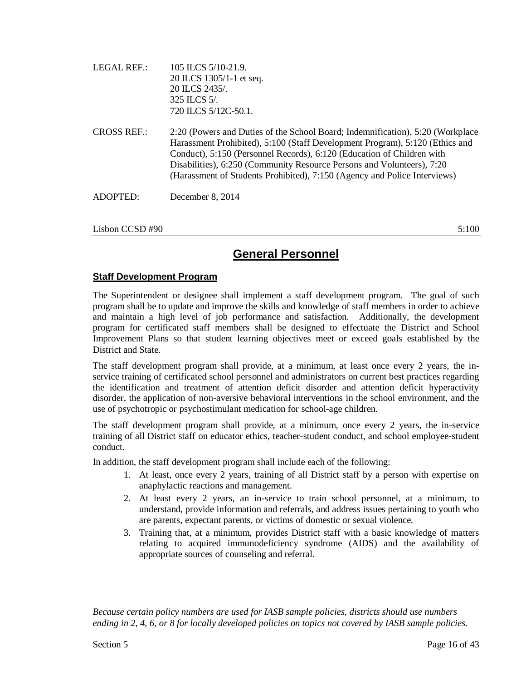| LEGAL REF.:        | 105 ILCS 5/10-21.9.                                                                                                                                                                                                                      |
|--------------------|------------------------------------------------------------------------------------------------------------------------------------------------------------------------------------------------------------------------------------------|
|                    | 20 ILCS 1305/1-1 et seq.                                                                                                                                                                                                                 |
|                    | 20 ILCS 2435/.                                                                                                                                                                                                                           |
|                    | 325 ILCS 5/.                                                                                                                                                                                                                             |
|                    | 720 ILCS 5/12C-50.1.                                                                                                                                                                                                                     |
| <b>CROSS REF.:</b> | 2:20 (Powers and Duties of the School Board; Indemnification), 5:20 (Workplace<br>Harassment Prohibited), 5:100 (Staff Development Program), 5:120 (Ethics and<br>Conduct), 5:150 (Personnel Records), 6:120 (Education of Children with |
|                    | Disabilities), 6:250 (Community Resource Persons and Volunteers), 7:20<br>(Harassment of Students Prohibited), 7:150 (Agency and Police Interviews)                                                                                      |
| ADOPTED:           | December 8, 2014                                                                                                                                                                                                                         |
|                    |                                                                                                                                                                                                                                          |

 $\sim$  5:100 5:100 5:100 5:100 5:100 5:100 5:100 5:100 5:100 5:100 5:100 5:100 5:100 5:100 5:100 5:100 5:100 5:100 5:100 5:100 5:100 5:100 5:100 5:100 5:100 5:100 5:100 5:100 5:100 5:100 5:100 5:100 5:100 5:100 5:100 5:100

## **General Personnel**

#### **Staff Development Program**

The Superintendent or designee shall implement a staff development program. The goal of such program shall be to update and improve the skills and knowledge of staff members in order to achieve and maintain a high level of job performance and satisfaction. Additionally, the development program for certificated staff members shall be designed to effectuate the District and School Improvement Plans so that student learning objectives meet or exceed goals established by the District and State.

The staff development program shall provide, at a minimum, at least once every 2 years, the inservice training of certificated school personnel and administrators on current best practices regarding the identification and treatment of attention deficit disorder and attention deficit hyperactivity disorder, the application of non-aversive behavioral interventions in the school environment, and the use of psychotropic or psychostimulant medication for school-age children.

The staff development program shall provide, at a minimum, once every 2 years, the in-service training of all District staff on educator ethics, teacher-student conduct, and school employee-student conduct.

In addition, the staff development program shall include each of the following:

- 1. At least, once every 2 years, training of all District staff by a person with expertise on anaphylactic reactions and management.
- 2. At least every 2 years, an in-service to train school personnel, at a minimum, to understand, provide information and referrals, and address issues pertaining to youth who are parents, expectant parents, or victims of domestic or sexual violence.
- 3. Training that, at a minimum, provides District staff with a basic knowledge of matters relating to acquired immunodeficiency syndrome (AIDS) and the availability of appropriate sources of counseling and referral.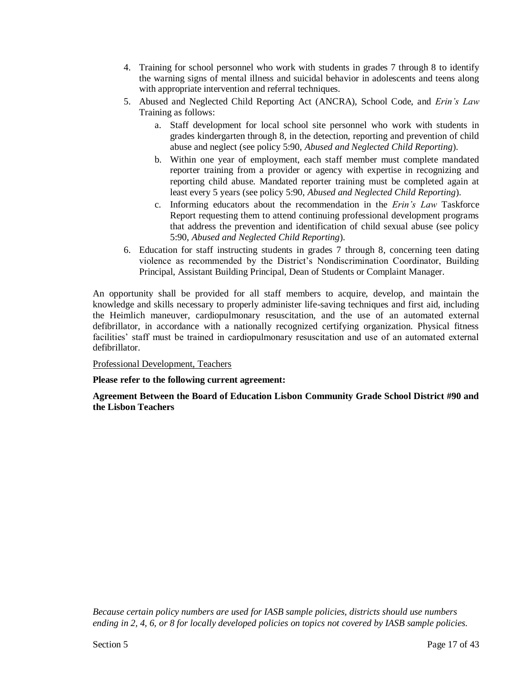- 4. Training for school personnel who work with students in grades 7 through 8 to identify the warning signs of mental illness and suicidal behavior in adolescents and teens along with appropriate intervention and referral techniques.
- 5. Abused and Neglected Child Reporting Act (ANCRA), School Code, and *Erin's Law* Training as follows:
	- a. Staff development for local school site personnel who work with students in grades kindergarten through 8, in the detection, reporting and prevention of child abuse and neglect (see policy 5:90, *Abused and Neglected Child Reporting*).
	- b. Within one year of employment, each staff member must complete mandated reporter training from a provider or agency with expertise in recognizing and reporting child abuse. Mandated reporter training must be completed again at least every 5 years (see policy 5:90, *Abused and Neglected Child Reporting*).
	- c. Informing educators about the recommendation in the *Erin's Law* Taskforce Report requesting them to attend continuing professional development programs that address the prevention and identification of child sexual abuse (see policy 5:90, *Abused and Neglected Child Reporting*).
- 6. Education for staff instructing students in grades 7 through 8, concerning teen dating violence as recommended by the District's Nondiscrimination Coordinator, Building Principal, Assistant Building Principal, Dean of Students or Complaint Manager.

An opportunity shall be provided for all staff members to acquire, develop, and maintain the knowledge and skills necessary to properly administer life-saving techniques and first aid, including the Heimlich maneuver, cardiopulmonary resuscitation, and the use of an automated external defibrillator, in accordance with a nationally recognized certifying organization. Physical fitness facilities' staff must be trained in cardiopulmonary resuscitation and use of an automated external defibrillator.

#### Professional Development, Teachers

#### **Please refer to the following current agreement:**

**Agreement Between the Board of Education Lisbon Community Grade School District #90 and the Lisbon Teachers**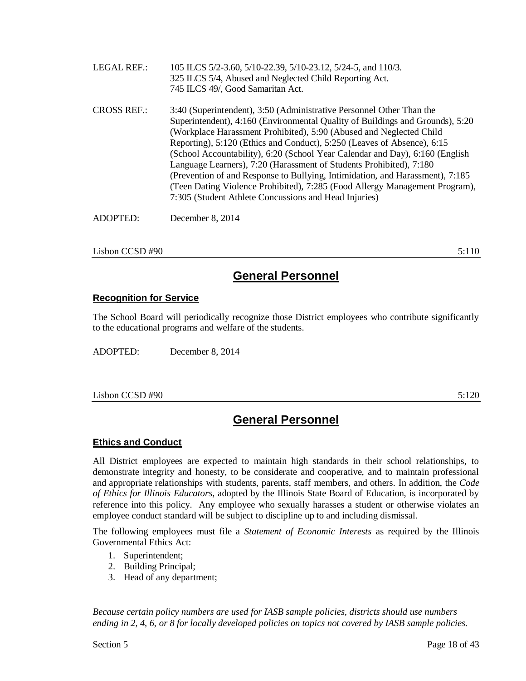| <b>LEGAL REF.:</b> | 105 ILCS 5/2-3.60, 5/10-22.39, 5/10-23.12, 5/24-5, and 110/3.<br>325 ILCS 5/4, Abused and Neglected Child Reporting Act.<br>745 ILCS 49/, Good Samaritan Act.                                                                                                                                                                                                                                                                                                                                                                                                                                                                                                                           |
|--------------------|-----------------------------------------------------------------------------------------------------------------------------------------------------------------------------------------------------------------------------------------------------------------------------------------------------------------------------------------------------------------------------------------------------------------------------------------------------------------------------------------------------------------------------------------------------------------------------------------------------------------------------------------------------------------------------------------|
| <b>CROSS REF.:</b> | 3:40 (Superintendent), 3:50 (Administrative Personnel Other Than the<br>Superintendent), 4:160 (Environmental Quality of Buildings and Grounds), 5:20<br>(Workplace Harassment Prohibited), 5:90 (Abused and Neglected Child<br>Reporting), 5:120 (Ethics and Conduct), 5:250 (Leaves of Absence), 6:15<br>(School Accountability), 6:20 (School Year Calendar and Day), 6:160 (English<br>Language Learners), 7:20 (Harassment of Students Prohibited), 7:180<br>(Prevention of and Response to Bullying, Intimidation, and Harassment), 7:185<br>(Teen Dating Violence Prohibited), 7:285 (Food Allergy Management Program),<br>7:305 (Student Athlete Concussions and Head Injuries) |
| ADOPTED:           | December 8, 2014                                                                                                                                                                                                                                                                                                                                                                                                                                                                                                                                                                                                                                                                        |

 $\angle$ Lisbon CCSD #90 5:110

## **General Personnel**

## **Recognition for Service**

The School Board will periodically recognize those District employees who contribute significantly to the educational programs and welfare of the students.

ADOPTED: December 8, 2014

#### $\lambda$  Lisbon CCSD #90 5:120

# **General Personnel**

## **Ethics and Conduct**

All District employees are expected to maintain high standards in their school relationships, to demonstrate integrity and honesty, to be considerate and cooperative, and to maintain professional and appropriate relationships with students, parents, staff members, and others. In addition, the *Code of Ethics for Illinois Educators*, adopted by the Illinois State Board of Education, is incorporated by reference into this policy. Any employee who sexually harasses a student or otherwise violates an employee conduct standard will be subject to discipline up to and including dismissal.

The following employees must file a *Statement of Economic Interests* as required by the Illinois Governmental Ethics Act:

- 1. Superintendent;
- 2. Building Principal;
- 3. Head of any department;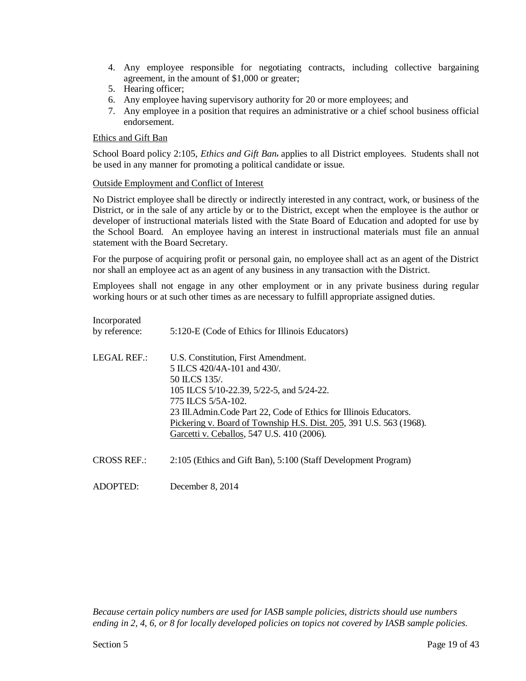- 4. Any employee responsible for negotiating contracts, including collective bargaining agreement, in the amount of \$1,000 or greater;
- 5. Hearing officer;
- 6. Any employee having supervisory authority for 20 or more employees; and
- 7. Any employee in a position that requires an administrative or a chief school business official endorsement.

#### Ethics and Gift Ban

School Board policy 2:105, *Ethics and Gift Ban***,** applies to all District employees. Students shall not be used in any manner for promoting a political candidate or issue.

#### Outside Employment and Conflict of Interest

No District employee shall be directly or indirectly interested in any contract, work, or business of the District, or in the sale of any article by or to the District, except when the employee is the author or developer of instructional materials listed with the State Board of Education and adopted for use by the School Board. An employee having an interest in instructional materials must file an annual statement with the Board Secretary.

For the purpose of acquiring profit or personal gain, no employee shall act as an agent of the District nor shall an employee act as an agent of any business in any transaction with the District.

Employees shall not engage in any other employment or in any private business during regular working hours or at such other times as are necessary to fulfill appropriate assigned duties.

| Incorporated<br>by reference: | 5:120-E (Code of Ethics for Illinois Educators)                                                                                                                                                                                                                                                                                                  |
|-------------------------------|--------------------------------------------------------------------------------------------------------------------------------------------------------------------------------------------------------------------------------------------------------------------------------------------------------------------------------------------------|
| <b>LEGAL REF.:</b>            | U.S. Constitution, First Amendment.<br>5 ILCS 420/4A-101 and 430/<br>50 ILCS 135/<br>105 ILCS 5/10-22.39, 5/22-5, and 5/24-22.<br>775 ILCS 5/5A-102.<br>23 Ill. Admin. Code Part 22, Code of Ethics for Illinois Educators.<br>Pickering v. Board of Township H.S. Dist. 205, 391 U.S. 563 (1968).<br>Garcetti v. Ceballos, 547 U.S. 410 (2006). |
| <b>CROSS REF.:</b>            | 2:105 (Ethics and Gift Ban), 5:100 (Staff Development Program)                                                                                                                                                                                                                                                                                   |

ADOPTED: December 8, 2014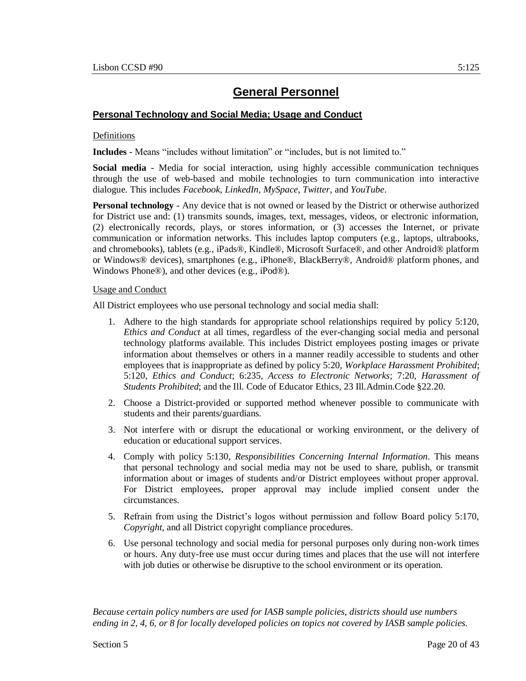### **Personal Technology and Social Media; Usage and Conduct**

#### Definitions

**Includes** - Means "includes without limitation" or "includes, but is not limited to."

**Social media** - Media for social interaction, using highly accessible communication techniques through the use of web-based and mobile technologies to turn communication into interactive dialogue. This includes *Facebook*, *LinkedIn*, *MySpace*, *Twitter*, and *YouTube*.

**Personal technology** - Any device that is not owned or leased by the District or otherwise authorized for District use and: (1) transmits sounds, images, text, messages, videos, or electronic information, (2) electronically records, plays, or stores information, or (3) accesses the Internet, or private communication or information networks. This includes laptop computers (e.g., laptops, ultrabooks, and chromebooks), tablets (e.g., iPads®, Kindle®, Microsoft Surface®, and other Android® platform or Windows® devices), smartphones (e.g., iPhone®, BlackBerry®, Android® platform phones, and Windows Phone®), and other devices (e.g., iPod®).

#### Usage and Conduct

All District employees who use personal technology and social media shall:

- 1. Adhere to the high standards for appropriate school relationships required by policy 5:120, *Ethics and Conduct* at all times, regardless of the ever-changing social media and personal technology platforms available. This includes District employees posting images or private information about themselves or others in a manner readily accessible to students and other employees that is inappropriate as defined by policy 5:20, *Workplace Harassment Prohibited*; 5:120, *Ethics and Conduct*; 6:235, *Access to Electronic Networks*; 7:20, *Harassment of Students Prohibited*; and the Ill. Code of Educator Ethics, 23 Ill.Admin.Code §22.20.
- 2. Choose a District-provided or supported method whenever possible to communicate with students and their parents/guardians.
- 3. Not interfere with or disrupt the educational or working environment, or the delivery of education or educational support services.
- 4. Comply with policy 5:130, *Responsibilities Concerning Internal Information*. This means that personal technology and social media may not be used to share, publish, or transmit information about or images of students and/or District employees without proper approval. For District employees, proper approval may include implied consent under the circumstances.
- 5. Refrain from using the District's logos without permission and follow Board policy 5:170, *Copyright*, and all District copyright compliance procedures.
- 6. Use personal technology and social media for personal purposes only during non-work times or hours. Any duty-free use must occur during times and places that the use will not interfere with job duties or otherwise be disruptive to the school environment or its operation.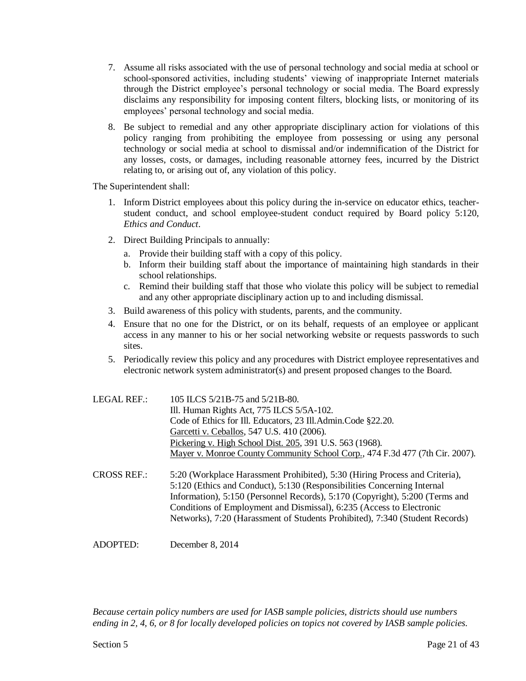- 7. Assume all risks associated with the use of personal technology and social media at school or school-sponsored activities, including students' viewing of inappropriate Internet materials through the District employee's personal technology or social media. The Board expressly disclaims any responsibility for imposing content filters, blocking lists, or monitoring of its employees' personal technology and social media.
- 8. Be subject to remedial and any other appropriate disciplinary action for violations of this policy ranging from prohibiting the employee from possessing or using any personal technology or social media at school to dismissal and/or indemnification of the District for any losses, costs, or damages, including reasonable attorney fees, incurred by the District relating to, or arising out of, any violation of this policy.

The Superintendent shall:

- 1. Inform District employees about this policy during the in-service on educator ethics, teacherstudent conduct, and school employee-student conduct required by Board policy 5:120, *Ethics and Conduct*.
- 2. Direct Building Principals to annually:
	- a. Provide their building staff with a copy of this policy.
	- b. Inform their building staff about the importance of maintaining high standards in their school relationships.
	- c. Remind their building staff that those who violate this policy will be subject to remedial and any other appropriate disciplinary action up to and including dismissal.
- 3. Build awareness of this policy with students, parents, and the community.
- 4. Ensure that no one for the District, or on its behalf, requests of an employee or applicant access in any manner to his or her social networking website or requests passwords to such sites.
- 5. Periodically review this policy and any procedures with District employee representatives and electronic network system administrator(s) and present proposed changes to the Board.

| LEGAL REF.: | 105 ILCS 5/21B-75 and 5/21B-80.                                              |
|-------------|------------------------------------------------------------------------------|
|             | Ill. Human Rights Act, 775 ILCS 5/5A-102.                                    |
|             | Code of Ethics for Ill. Educators, 23 Ill.Admin.Code §22.20.                 |
|             | Garcetti v. Ceballos, 547 U.S. 410 (2006).                                   |
|             | Pickering v. High School Dist. 205, 391 U.S. 563 (1968).                     |
|             | Mayer v. Monroe County Community School Corp., 474 F.3d 477 (7th Cir. 2007). |
| CROSS REF.: | 5:20 (Workplace Harassment Prohibited), 5:30 (Hiring Process and Criteria),  |
|             | 5:120 (Ethics and Conduct), 5:130 (Responsibilities Concerning Internal      |
|             | Information), 5:150 (Personnel Records), 5:170 (Copyright), 5:200 (Terms and |
|             | Conditions of Employment and Dismissal), 6:235 (Access to Electronic         |
|             | Networks), 7:20 (Harassment of Students Prohibited), 7:340 (Student Records) |

ADOPTED: December 8, 2014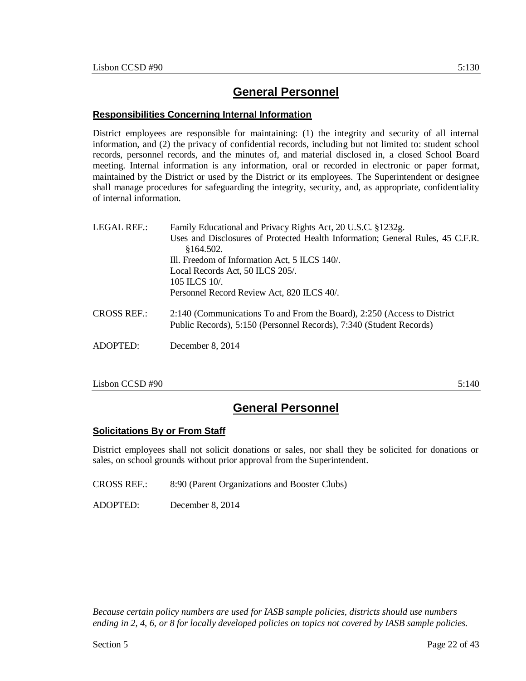### **Responsibilities Concerning Internal Information**

District employees are responsible for maintaining: (1) the integrity and security of all internal information, and (2) the privacy of confidential records, including but not limited to: student school records, personnel records, and the minutes of, and material disclosed in, a closed School Board meeting. Internal information is any information, oral or recorded in electronic or paper format, maintained by the District or used by the District or its employees. The Superintendent or designee shall manage procedures for safeguarding the integrity, security, and, as appropriate, confidentiality of internal information.

| LEGAL REF.:        | Family Educational and Privacy Rights Act, 20 U.S.C. §1232g.                                                                                   |
|--------------------|------------------------------------------------------------------------------------------------------------------------------------------------|
|                    | Uses and Disclosures of Protected Health Information; General Rules, 45 C.F.R.                                                                 |
|                    | \$164.502.                                                                                                                                     |
|                    | Ill. Freedom of Information Act, 5 ILCS 140/.                                                                                                  |
|                    | Local Records Act, 50 ILCS 205/.                                                                                                               |
|                    | 105 ILCS $10/$ .                                                                                                                               |
|                    | Personnel Record Review Act, 820 ILCS 40/.                                                                                                     |
| <b>CROSS REF.:</b> | 2:140 (Communications To and From the Board), 2:250 (Access to District<br>Public Records), 5:150 (Personnel Records), 7:340 (Student Records) |
| ADOPTED:           | December $8, 2014$                                                                                                                             |

 $\sim$  5:140 5:140

# **General Personnel**

#### **Solicitations By or From Staff**

District employees shall not solicit donations or sales, nor shall they be solicited for donations or sales, on school grounds without prior approval from the Superintendent.

CROSS REF.: 8:90 (Parent Organizations and Booster Clubs)

ADOPTED: December 8, 2014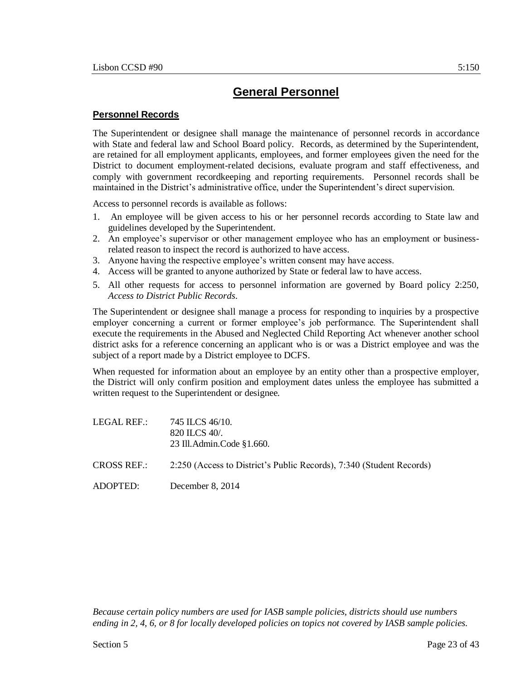### **Personnel Records**

The Superintendent or designee shall manage the maintenance of personnel records in accordance with State and federal law and School Board policy. Records, as determined by the Superintendent, are retained for all employment applicants, employees, and former employees given the need for the District to document employment-related decisions, evaluate program and staff effectiveness, and comply with government recordkeeping and reporting requirements. Personnel records shall be maintained in the District's administrative office, under the Superintendent's direct supervision.

Access to personnel records is available as follows:

- 1. An employee will be given access to his or her personnel records according to State law and guidelines developed by the Superintendent.
- 2. An employee's supervisor or other management employee who has an employment or businessrelated reason to inspect the record is authorized to have access.
- 3. Anyone having the respective employee's written consent may have access.
- 4. Access will be granted to anyone authorized by State or federal law to have access.
- 5. All other requests for access to personnel information are governed by Board policy 2:250, *Access to District Public Records*.

The Superintendent or designee shall manage a process for responding to inquiries by a prospective employer concerning a current or former employee's job performance. The Superintendent shall execute the requirements in the Abused and Neglected Child Reporting Act whenever another school district asks for a reference concerning an applicant who is or was a District employee and was the subject of a report made by a District employee to DCFS.

When requested for information about an employee by an entity other than a prospective employer, the District will only confirm position and employment dates unless the employee has submitted a written request to the Superintendent or designee.

| LEGAL REF.:        | 745 ILCS 46/10.<br>820 ILCS 40/.<br>23 Ill.Admin.Code §1.660.        |
|--------------------|----------------------------------------------------------------------|
| <b>CROSS REF.:</b> | 2:250 (Access to District's Public Records), 7:340 (Student Records) |
| ADOPTED:           | December 8, 2014                                                     |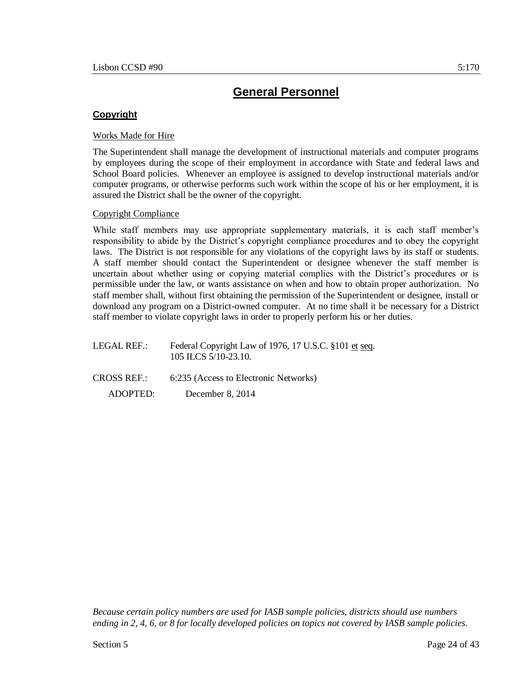### **Copyright**

#### Works Made for Hire

The Superintendent shall manage the development of instructional materials and computer programs by employees during the scope of their employment in accordance with State and federal laws and School Board policies. Whenever an employee is assigned to develop instructional materials and/or computer programs, or otherwise performs such work within the scope of his or her employment, it is assured the District shall be the owner of the copyright.

#### Copyright Compliance

While staff members may use appropriate supplementary materials, it is each staff member's responsibility to abide by the District's copyright compliance procedures and to obey the copyright laws. The District is not responsible for any violations of the copyright laws by its staff or students. A staff member should contact the Superintendent or designee whenever the staff member is uncertain about whether using or copying material complies with the District's procedures or is permissible under the law, or wants assistance on when and how to obtain proper authorization. No staff member shall, without first obtaining the permission of the Superintendent or designee, install or download any program on a District-owned computer. At no time shall it be necessary for a District staff member to violate copyright laws in order to properly perform his or her duties.

- LEGAL REF.: Federal Copyright Law of 1976, 17 U.S.C. §101 et seq. 105 ILCS 5/10-23.10.
- CROSS REF.: 6:235 (Access to Electronic Networks)
	- ADOPTED: December 8, 2014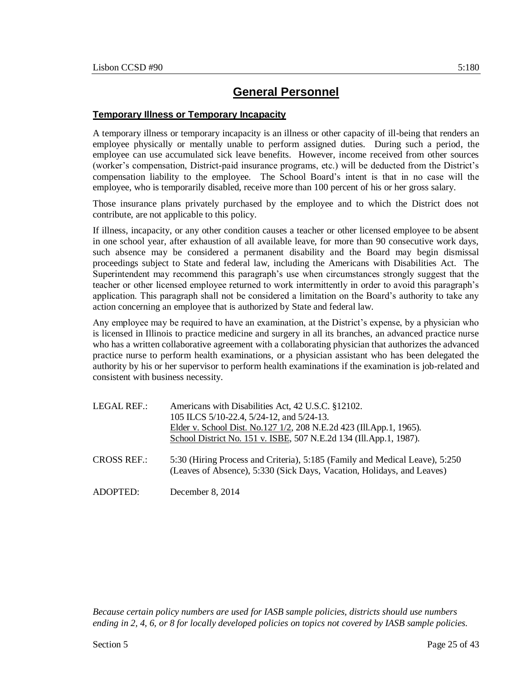## **Temporary Illness or Temporary Incapacity**

A temporary illness or temporary incapacity is an illness or other capacity of ill-being that renders an employee physically or mentally unable to perform assigned duties. During such a period, the employee can use accumulated sick leave benefits. However, income received from other sources (worker's compensation, District-paid insurance programs, etc.) will be deducted from the District's compensation liability to the employee. The School Board's intent is that in no case will the employee, who is temporarily disabled, receive more than 100 percent of his or her gross salary.

Those insurance plans privately purchased by the employee and to which the District does not contribute, are not applicable to this policy.

If illness, incapacity, or any other condition causes a teacher or other licensed employee to be absent in one school year, after exhaustion of all available leave, for more than 90 consecutive work days, such absence may be considered a permanent disability and the Board may begin dismissal proceedings subject to State and federal law, including the Americans with Disabilities Act. The Superintendent may recommend this paragraph's use when circumstances strongly suggest that the teacher or other licensed employee returned to work intermittently in order to avoid this paragraph's application. This paragraph shall not be considered a limitation on the Board's authority to take any action concerning an employee that is authorized by State and federal law.

Any employee may be required to have an examination, at the District's expense, by a physician who is licensed in Illinois to practice medicine and surgery in all its branches, an advanced practice nurse who has a written collaborative agreement with a collaborating physician that authorizes the advanced practice nurse to perform health examinations, or a physician assistant who has been delegated the authority by his or her supervisor to perform health examinations if the examination is job-related and consistent with business necessity.

| LEGAL REF.:        | Americans with Disabilities Act, 42 U.S.C. §12102.<br>105 ILCS 5/10-22.4, 5/24-12, and 5/24-13.<br>Elder v. School Dist. No.127 1/2, 208 N.E.2d 423 (Ill.App.1, 1965).<br>School District No. 151 v. ISBE, 507 N.E.2d 134 (Ill.App.1, 1987). |
|--------------------|----------------------------------------------------------------------------------------------------------------------------------------------------------------------------------------------------------------------------------------------|
| <b>CROSS REF.:</b> | 5:30 (Hiring Process and Criteria), 5:185 (Family and Medical Leave), 5:250<br>(Leaves of Absence), 5:330 (Sick Days, Vacation, Holidays, and Leaves)                                                                                        |
| ADOPTED:           | December 8, 2014                                                                                                                                                                                                                             |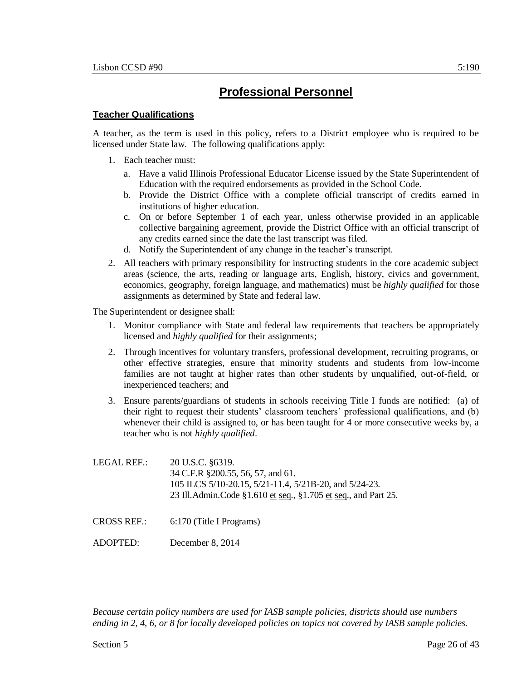# **Professional Personnel**

### **Teacher Qualifications**

A teacher, as the term is used in this policy, refers to a District employee who is required to be licensed under State law. The following qualifications apply:

- 1. Each teacher must:
	- a. Have a valid Illinois Professional Educator License issued by the State Superintendent of Education with the required endorsements as provided in the School Code.
	- b. Provide the District Office with a complete official transcript of credits earned in institutions of higher education.
	- c. On or before September 1 of each year, unless otherwise provided in an applicable collective bargaining agreement, provide the District Office with an official transcript of any credits earned since the date the last transcript was filed.
	- d. Notify the Superintendent of any change in the teacher's transcript.
- 2. All teachers with primary responsibility for instructing students in the core academic subject areas (science, the arts, reading or language arts, English, history, civics and government, economics, geography, foreign language, and mathematics) must be *highly qualified* for those assignments as determined by State and federal law.

The Superintendent or designee shall:

- 1. Monitor compliance with State and federal law requirements that teachers be appropriately licensed and *highly qualified* for their assignments;
- 2. Through incentives for voluntary transfers, professional development, recruiting programs, or other effective strategies, ensure that minority students and students from low-income families are not taught at higher rates than other students by unqualified, out-of-field, or inexperienced teachers; and
- 3. Ensure parents/guardians of students in schools receiving Title I funds are notified: (a) of their right to request their students' classroom teachers' professional qualifications, and (b) whenever their child is assigned to, or has been taught for 4 or more consecutive weeks by, a teacher who is not *highly qualified*.

LEGAL REF.: 20 U.S.C. §6319. 34 C.F.R §200.55, 56, 57, and 61. 105 ILCS 5/10-20.15, 5/21-11.4, 5/21B-20, and 5/24-23. 23 Ill.Admin.Code §1.610 et seq., §1.705 et seq., and Part 25.

- CROSS REF.: 6:170 (Title I Programs)
- ADOPTED: December 8, 2014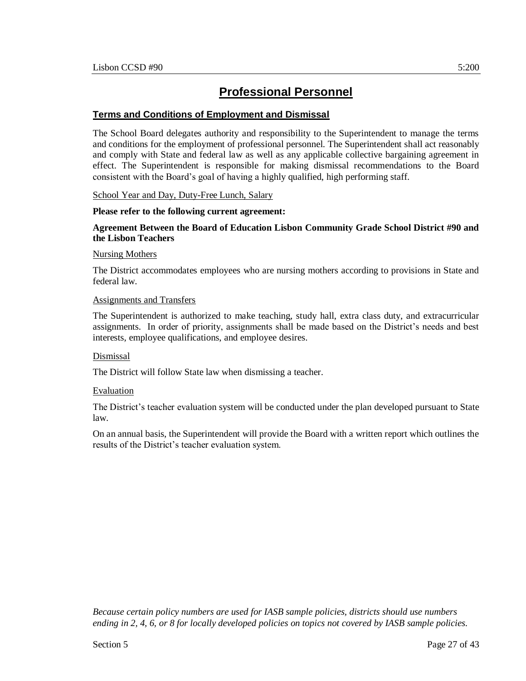# **Professional Personnel**

### **Terms and Conditions of Employment and Dismissal**

The School Board delegates authority and responsibility to the Superintendent to manage the terms and conditions for the employment of professional personnel. The Superintendent shall act reasonably and comply with State and federal law as well as any applicable collective bargaining agreement in effect. The Superintendent is responsible for making dismissal recommendations to the Board consistent with the Board's goal of having a highly qualified, high performing staff.

#### School Year and Day, Duty-Free Lunch, Salary

#### **Please refer to the following current agreement:**

#### **Agreement Between the Board of Education Lisbon Community Grade School District #90 and the Lisbon Teachers**

#### Nursing Mothers

The District accommodates employees who are nursing mothers according to provisions in State and federal law.

#### Assignments and Transfers

The Superintendent is authorized to make teaching, study hall, extra class duty, and extracurricular assignments. In order of priority, assignments shall be made based on the District's needs and best interests, employee qualifications, and employee desires.

#### Dismissal

The District will follow State law when dismissing a teacher.

#### Evaluation

The District's teacher evaluation system will be conducted under the plan developed pursuant to State law.

On an annual basis, the Superintendent will provide the Board with a written report which outlines the results of the District's teacher evaluation system.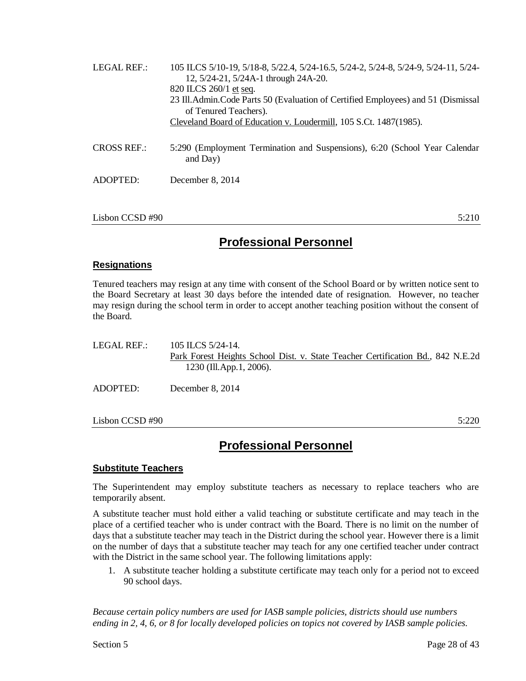| LEGAL REF.:        | 105 ILCS 5/10-19, 5/18-8, 5/22.4, 5/24-16.5, 5/24-2, 5/24-8, 5/24-9, 5/24-11, 5/24-<br>12, 5/24-21, 5/24A-1 through 24A-20.<br>820 ILCS 260/1 et seq.<br>23 Ill. Admin. Code Parts 50 (Evaluation of Certified Employees) and 51 (Dismissal<br>of Tenured Teachers). |
|--------------------|----------------------------------------------------------------------------------------------------------------------------------------------------------------------------------------------------------------------------------------------------------------------|
|                    | Cleveland Board of Education v. Loudermill, 105 S.Ct. 1487(1985).                                                                                                                                                                                                    |
| <b>CROSS REF.:</b> | 5:290 (Employment Termination and Suspensions), 6:20 (School Year Calendar)<br>and Day)                                                                                                                                                                              |
| ADOPTED:           | December 8, 2014                                                                                                                                                                                                                                                     |

 $\lambda$  5:210 5:210

## **Professional Personnel**

### **Resignations**

Tenured teachers may resign at any time with consent of the School Board or by written notice sent to the Board Secretary at least 30 days before the intended date of resignation. However, no teacher may resign during the school term in order to accept another teaching position without the consent of the Board.

| LEGAL REF.: | 105 ILCS $5/24-14$ .                                                            |
|-------------|---------------------------------------------------------------------------------|
|             | Park Forest Heights School Dist. v. State Teacher Certification Bd., 842 N.E.2d |
|             | 1230 (Ill.App.1, 2006).                                                         |
|             |                                                                                 |

ADOPTED: December 8, 2014

Lisbon CCSD #90 5:220

## **Professional Personnel**

## **Substitute Teachers**

The Superintendent may employ substitute teachers as necessary to replace teachers who are temporarily absent.

A substitute teacher must hold either a valid teaching or substitute certificate and may teach in the place of a certified teacher who is under contract with the Board. There is no limit on the number of days that a substitute teacher may teach in the District during the school year. However there is a limit on the number of days that a substitute teacher may teach for any one certified teacher under contract with the District in the same school year. The following limitations apply:

1. A substitute teacher holding a substitute certificate may teach only for a period not to exceed 90 school days.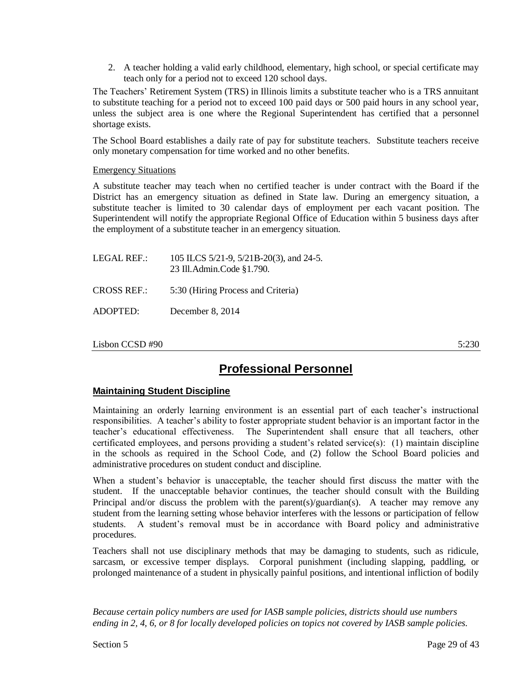2. A teacher holding a valid early childhood, elementary, high school, or special certificate may teach only for a period not to exceed 120 school days.

The Teachers' Retirement System (TRS) in Illinois limits a substitute teacher who is a TRS annuitant to substitute teaching for a period not to exceed 100 paid days or 500 paid hours in any school year, unless the subject area is one where the Regional Superintendent has certified that a personnel shortage exists.

The School Board establishes a daily rate of pay for substitute teachers. Substitute teachers receive only monetary compensation for time worked and no other benefits.

Emergency Situations

A substitute teacher may teach when no certified teacher is under contract with the Board if the District has an emergency situation as defined in State law. During an emergency situation, a substitute teacher is limited to 30 calendar days of employment per each vacant position. The Superintendent will notify the appropriate Regional Office of Education within 5 business days after the employment of a substitute teacher in an emergency situation.

| LEGAL REF.:        | 105 ILCS 5/21-9, 5/21B-20(3), and 24-5.<br>23 Ill.Admin.Code §1.790. |
|--------------------|----------------------------------------------------------------------|
| <b>CROSS REF.:</b> | 5:30 (Hiring Process and Criteria)                                   |
| ADOPTED:           | December $8, 2014$                                                   |

Lisbon CCSD #90 5:230

## **Professional Personnel**

## **Maintaining Student Discipline**

Maintaining an orderly learning environment is an essential part of each teacher's instructional responsibilities. A teacher's ability to foster appropriate student behavior is an important factor in the teacher's educational effectiveness. The Superintendent shall ensure that all teachers, other certificated employees, and persons providing a student's related service(s): (1) maintain discipline in the schools as required in the School Code, and (2) follow the School Board policies and administrative procedures on student conduct and discipline.

When a student's behavior is unacceptable, the teacher should first discuss the matter with the student. If the unacceptable behavior continues, the teacher should consult with the Building Principal and/or discuss the problem with the parent(s)/guardian(s). A teacher may remove any student from the learning setting whose behavior interferes with the lessons or participation of fellow students. A student's removal must be in accordance with Board policy and administrative procedures.

Teachers shall not use disciplinary methods that may be damaging to students, such as ridicule, sarcasm, or excessive temper displays. Corporal punishment (including slapping, paddling, or prolonged maintenance of a student in physically painful positions, and intentional infliction of bodily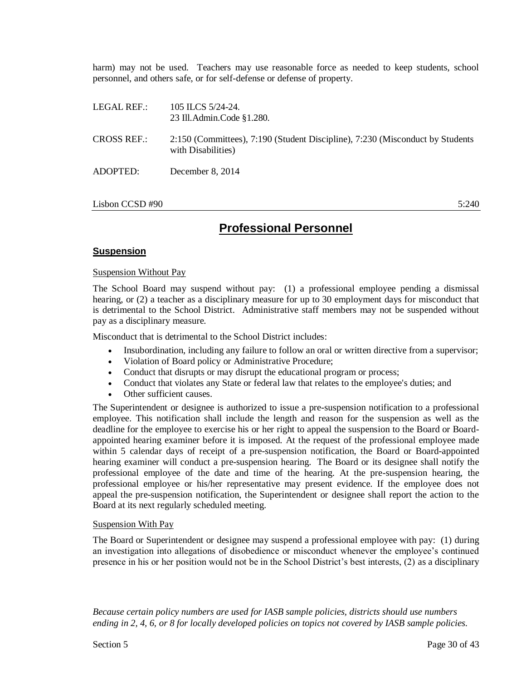harm) may not be used. Teachers may use reasonable force as needed to keep students, school personnel, and others safe, or for self-defense or defense of property.

| LEGAL REF.:        | 105 ILCS 5/24-24.<br>23 Ill.Admin.Code §1.280.                                                      |
|--------------------|-----------------------------------------------------------------------------------------------------|
| <b>CROSS REF.:</b> | 2:150 (Committees), 7:190 (Student Discipline), 7:230 (Misconduct by Students<br>with Disabilities) |
| ADOPTED:           | December $8, 2014$                                                                                  |

#### Lisbon CCSD #90 5:240

## **Professional Personnel**

#### **Suspension**

#### Suspension Without Pay

The School Board may suspend without pay: (1) a professional employee pending a dismissal hearing, or (2) a teacher as a disciplinary measure for up to 30 employment days for misconduct that is detrimental to the School District. Administrative staff members may not be suspended without pay as a disciplinary measure.

Misconduct that is detrimental to the School District includes:

- Insubordination, including any failure to follow an oral or written directive from a supervisor;
- Violation of Board policy or Administrative Procedure;
- Conduct that disrupts or may disrupt the educational program or process;
- Conduct that violates any State or federal law that relates to the employee's duties; and
- Other sufficient causes.

The Superintendent or designee is authorized to issue a pre-suspension notification to a professional employee. This notification shall include the length and reason for the suspension as well as the deadline for the employee to exercise his or her right to appeal the suspension to the Board or Boardappointed hearing examiner before it is imposed. At the request of the professional employee made within 5 calendar days of receipt of a pre-suspension notification, the Board or Board-appointed hearing examiner will conduct a pre-suspension hearing. The Board or its designee shall notify the professional employee of the date and time of the hearing. At the pre-suspension hearing, the professional employee or his/her representative may present evidence. If the employee does not appeal the pre-suspension notification, the Superintendent or designee shall report the action to the Board at its next regularly scheduled meeting.

#### Suspension With Pay

The Board or Superintendent or designee may suspend a professional employee with pay: (1) during an investigation into allegations of disobedience or misconduct whenever the employee's continued presence in his or her position would not be in the School District's best interests, (2) as a disciplinary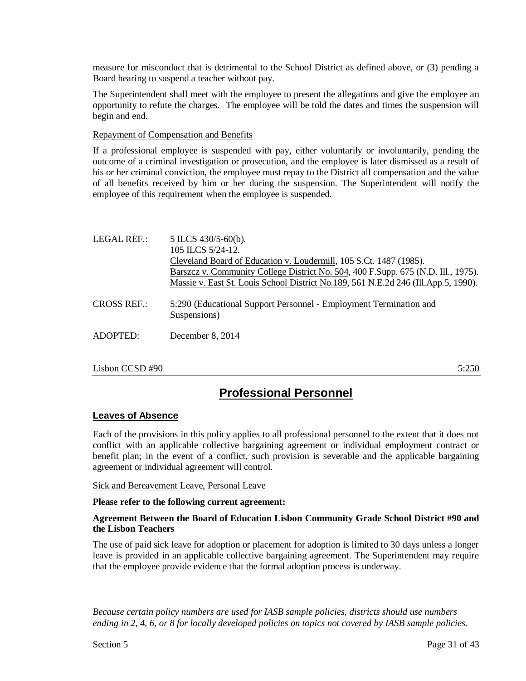measure for misconduct that is detrimental to the School District as defined above, or (3) pending a Board hearing to suspend a teacher without pay.

The Superintendent shall meet with the employee to present the allegations and give the employee an opportunity to refute the charges. The employee will be told the dates and times the suspension will begin and end.

#### Repayment of Compensation and Benefits

If a professional employee is suspended with pay, either voluntarily or involuntarily, pending the outcome of a criminal investigation or prosecution, and the employee is later dismissed as a result of his or her criminal conviction, the employee must repay to the District all compensation and the value of all benefits received by him or her during the suspension. The Superintendent will notify the employee of this requirement when the employee is suspended.

| LEGAL REF.:        | 5 ILCS $430/5 - 60(b)$ .<br>105 ILCS 5/24-12.<br>Cleveland Board of Education v. Loudermill, 105 S.Ct. 1487 (1985).<br>Barszcz v. Community College District No. 504, 400 F.Supp. 675 (N.D. Ill., 1975).<br>Massie v. East St. Louis School District No.189, 561 N.E.2d 246 (Ill.App.5, 1990). |
|--------------------|------------------------------------------------------------------------------------------------------------------------------------------------------------------------------------------------------------------------------------------------------------------------------------------------|
| <b>CROSS REF.:</b> | 5:290 (Educational Support Personnel - Employment Termination and<br>Suspensions)                                                                                                                                                                                                              |
| ADOPTED:           | December 8, $2014$                                                                                                                                                                                                                                                                             |

Lisbon CCSD #90 5:250

## **Professional Personnel**

#### **Leaves of Absence**

Each of the provisions in this policy applies to all professional personnel to the extent that it does not conflict with an applicable collective bargaining agreement or individual employment contract or benefit plan; in the event of a conflict, such provision is severable and the applicable bargaining agreement or individual agreement will control.

Sick and Bereavement Leave, Personal Leave

#### **Please refer to the following current agreement:**

#### **Agreement Between the Board of Education Lisbon Community Grade School District #90 and the Lisbon Teachers**

The use of paid sick leave for adoption or placement for adoption is limited to 30 days unless a longer leave is provided in an applicable collective bargaining agreement. The Superintendent may require that the employee provide evidence that the formal adoption process is underway.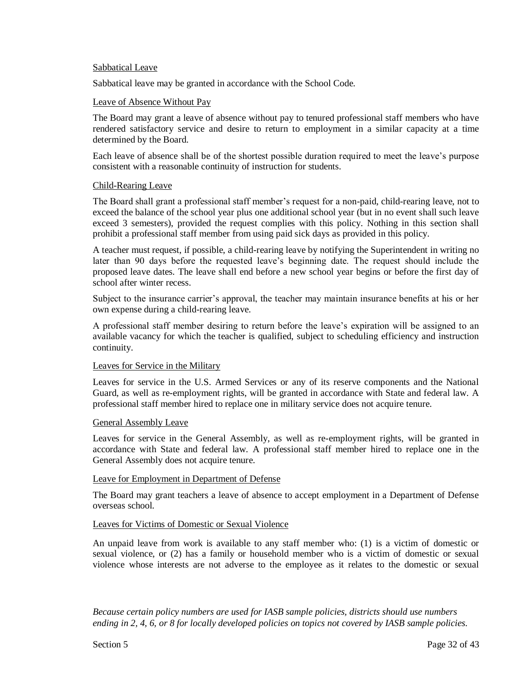#### Sabbatical Leave

Sabbatical leave may be granted in accordance with the School Code.

#### Leave of Absence Without Pay

The Board may grant a leave of absence without pay to tenured professional staff members who have rendered satisfactory service and desire to return to employment in a similar capacity at a time determined by the Board.

Each leave of absence shall be of the shortest possible duration required to meet the leave's purpose consistent with a reasonable continuity of instruction for students.

#### Child-Rearing Leave

The Board shall grant a professional staff member's request for a non-paid, child-rearing leave, not to exceed the balance of the school year plus one additional school year (but in no event shall such leave exceed 3 semesters), provided the request complies with this policy. Nothing in this section shall prohibit a professional staff member from using paid sick days as provided in this policy.

A teacher must request, if possible, a child-rearing leave by notifying the Superintendent in writing no later than 90 days before the requested leave's beginning date. The request should include the proposed leave dates. The leave shall end before a new school year begins or before the first day of school after winter recess.

Subject to the insurance carrier's approval, the teacher may maintain insurance benefits at his or her own expense during a child-rearing leave.

A professional staff member desiring to return before the leave's expiration will be assigned to an available vacancy for which the teacher is qualified, subject to scheduling efficiency and instruction continuity.

#### Leaves for Service in the Military

Leaves for service in the U.S. Armed Services or any of its reserve components and the National Guard, as well as re-employment rights, will be granted in accordance with State and federal law. A professional staff member hired to replace one in military service does not acquire tenure.

#### General Assembly Leave

Leaves for service in the General Assembly, as well as re-employment rights, will be granted in accordance with State and federal law. A professional staff member hired to replace one in the General Assembly does not acquire tenure.

#### Leave for Employment in Department of Defense

The Board may grant teachers a leave of absence to accept employment in a Department of Defense overseas school.

#### Leaves for Victims of Domestic or Sexual Violence

An unpaid leave from work is available to any staff member who: (1) is a victim of domestic or sexual violence, or (2) has a family or household member who is a victim of domestic or sexual violence whose interests are not adverse to the employee as it relates to the domestic or sexual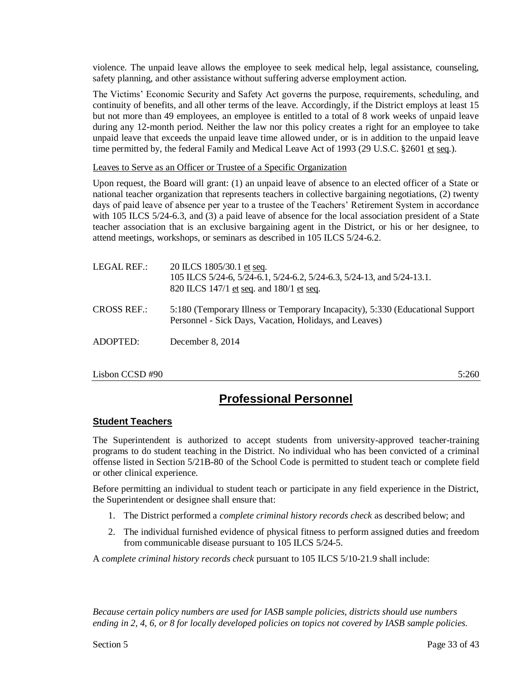violence. The unpaid leave allows the employee to seek medical help, legal assistance, counseling, safety planning, and other assistance without suffering adverse employment action.

The Victims' Economic Security and Safety Act governs the purpose, requirements, scheduling, and continuity of benefits, and all other terms of the leave. Accordingly, if the District employs at least 15 but not more than 49 employees, an employee is entitled to a total of 8 work weeks of unpaid leave during any 12-month period. Neither the law nor this policy creates a right for an employee to take unpaid leave that exceeds the unpaid leave time allowed under, or is in addition to the unpaid leave time permitted by, the federal Family and Medical Leave Act of 1993 (29 U.S.C. §2601 et seq.).

Leaves to Serve as an Officer or Trustee of a Specific Organization

Upon request, the Board will grant: (1) an unpaid leave of absence to an elected officer of a State or national teacher organization that represents teachers in collective bargaining negotiations, (2) twenty days of paid leave of absence per year to a trustee of the Teachers' Retirement System in accordance with 105 ILCS 5/24-6.3, and (3) a paid leave of absence for the local association president of a State teacher association that is an exclusive bargaining agent in the District, or his or her designee, to attend meetings, workshops, or seminars as described in 105 ILCS 5/24-6.2.

| LEGAL REF.:        | 20 ILCS 1805/30.1 et seq.<br>105 ILCS 5/24-6, 5/24-6.1, 5/24-6.2, 5/24-6.3, 5/24-13, and 5/24-13.1.<br>820 ILCS 147/1 et seq. and 180/1 et seq. |
|--------------------|-------------------------------------------------------------------------------------------------------------------------------------------------|
| <b>CROSS REF.:</b> | 5:180 (Temporary Illness or Temporary Incapacity), 5:330 (Educational Support<br>Personnel - Sick Days, Vacation, Holidays, and Leaves)         |
| ADOPTED:           | December 8, 2014                                                                                                                                |

Lisbon CCSD #90 5:260

## **Professional Personnel**

## **Student Teachers**

The Superintendent is authorized to accept students from university-approved teacher-training programs to do student teaching in the District. No individual who has been convicted of a criminal offense listed in Section 5/21B-80 of the School Code is permitted to student teach or complete field or other clinical experience.

Before permitting an individual to student teach or participate in any field experience in the District, the Superintendent or designee shall ensure that:

- 1. The District performed a *complete criminal history records check* as described below; and
- 2. The individual furnished evidence of physical fitness to perform assigned duties and freedom from communicable disease pursuant to 105 ILCS 5/24-5.

A *complete criminal history records check* pursuant to 105 ILCS 5/10-21.9 shall include: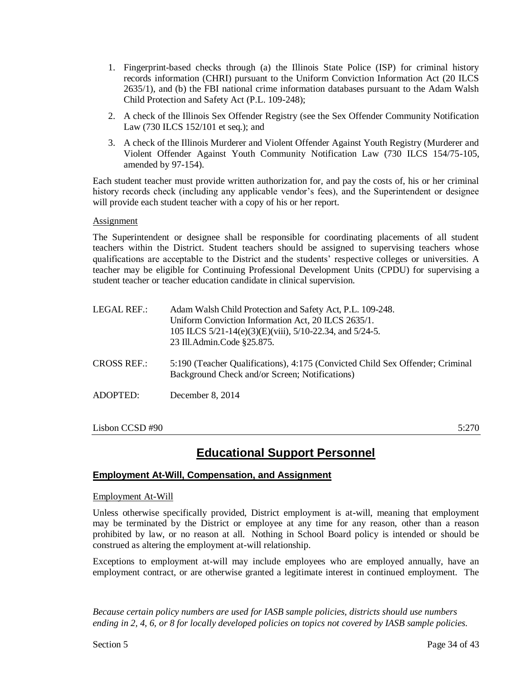- 1. Fingerprint-based checks through (a) the Illinois State Police (ISP) for criminal history records information (CHRI) pursuant to the Uniform Conviction Information Act (20 ILCS 2635/1), and (b) the FBI national crime information databases pursuant to the Adam Walsh Child Protection and Safety Act (P.L. 109-248);
- 2. A check of the Illinois Sex Offender Registry (see the Sex Offender Community Notification Law (730 ILCS 152/101 et seq.); and
- 3. A check of the Illinois Murderer and Violent Offender Against Youth Registry (Murderer and Violent Offender Against Youth Community Notification Law (730 ILCS 154/75-105, amended by 97-154).

Each student teacher must provide written authorization for, and pay the costs of, his or her criminal history records check (including any applicable vendor's fees), and the Superintendent or designee will provide each student teacher with a copy of his or her report.

#### **Assignment**

The Superintendent or designee shall be responsible for coordinating placements of all student teachers within the District. Student teachers should be assigned to supervising teachers whose qualifications are acceptable to the District and the students' respective colleges or universities. A teacher may be eligible for Continuing Professional Development Units (CPDU) for supervising a student teacher or teacher education candidate in clinical supervision.

| LEGAL REF.:        | Adam Walsh Child Protection and Safety Act, P.L. 109-248.<br>Uniform Conviction Information Act, 20 ILCS 2635/1.<br>105 ILCS 5/21-14(e)(3)(E)(viii), 5/10-22.34, and 5/24-5.<br>23 Ill. Admin. Code § 25.875. |
|--------------------|---------------------------------------------------------------------------------------------------------------------------------------------------------------------------------------------------------------|
| <b>CROSS REF.:</b> | 5:190 (Teacher Qualifications), 4:175 (Convicted Child Sex Offender; Criminal<br>Background Check and/or Screen; Notifications)                                                                               |
| ADOPTED:           | December 8, 2014                                                                                                                                                                                              |

#### $\sim$  5:270 5:270

## **Educational Support Personnel**

## **Employment At-Will, Compensation, and Assignment**

#### Employment At-Will

Unless otherwise specifically provided, District employment is at-will, meaning that employment may be terminated by the District or employee at any time for any reason, other than a reason prohibited by law, or no reason at all. Nothing in School Board policy is intended or should be construed as altering the employment at-will relationship.

Exceptions to employment at-will may include employees who are employed annually, have an employment contract, or are otherwise granted a legitimate interest in continued employment. The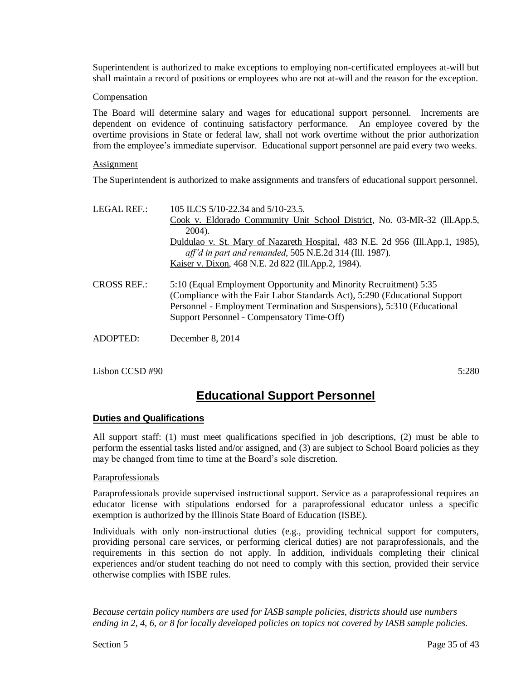Superintendent is authorized to make exceptions to employing non-certificated employees at-will but shall maintain a record of positions or employees who are not at-will and the reason for the exception.

#### Compensation

The Board will determine salary and wages for educational support personnel. Increments are dependent on evidence of continuing satisfactory performance. An employee covered by the overtime provisions in State or federal law, shall not work overtime without the prior authorization from the employee's immediate supervisor. Educational support personnel are paid every two weeks.

#### **Assignment**

The Superintendent is authorized to make assignments and transfers of educational support personnel.

| LEGAL REF.:        | 105 ILCS 5/10-22.34 and 5/10-23.5.                                                                                                                                                                                                                                            |
|--------------------|-------------------------------------------------------------------------------------------------------------------------------------------------------------------------------------------------------------------------------------------------------------------------------|
|                    | Cook v. Eldorado Community Unit School District, No. 03-MR-32 (Ill.App.5,                                                                                                                                                                                                     |
|                    | 2004).                                                                                                                                                                                                                                                                        |
|                    | Duldulao v. St. Mary of Nazareth Hospital, 483 N.E. 2d 956 (Ill.App.1, 1985),                                                                                                                                                                                                 |
|                    | aff'd in part and remanded, 505 N.E.2d 314 (Ill. 1987).                                                                                                                                                                                                                       |
|                    | Kaiser v. Dixon, 468 N.E. 2d 822 (Ill.App.2, 1984).                                                                                                                                                                                                                           |
| <b>CROSS REF.:</b> | 5:35 5:10 (Equal Employment Opportunity and Minority Recruitment) 5:35<br>(Compliance with the Fair Labor Standards Act), 5:290 (Educational Support<br>Personnel - Employment Termination and Suspensions), 5:310 (Educational<br>Support Personnel - Compensatory Time-Off) |
| ADOPTED:           | December $8, 2014$                                                                                                                                                                                                                                                            |

 $\sim$  5:280 5:280

## **Educational Support Personnel**

## **Duties and Qualifications**

All support staff: (1) must meet qualifications specified in job descriptions, (2) must be able to perform the essential tasks listed and/or assigned, and (3) are subject to School Board policies as they may be changed from time to time at the Board's sole discretion.

**Paraprofessionals** 

Paraprofessionals provide supervised instructional support. Service as a paraprofessional requires an educator license with stipulations endorsed for a paraprofessional educator unless a specific exemption is authorized by the Illinois State Board of Education (ISBE).

Individuals with only non-instructional duties (e.g., providing technical support for computers, providing personal care services, or performing clerical duties) are not paraprofessionals, and the requirements in this section do not apply. In addition, individuals completing their clinical experiences and/or student teaching do not need to comply with this section, provided their service otherwise complies with ISBE rules.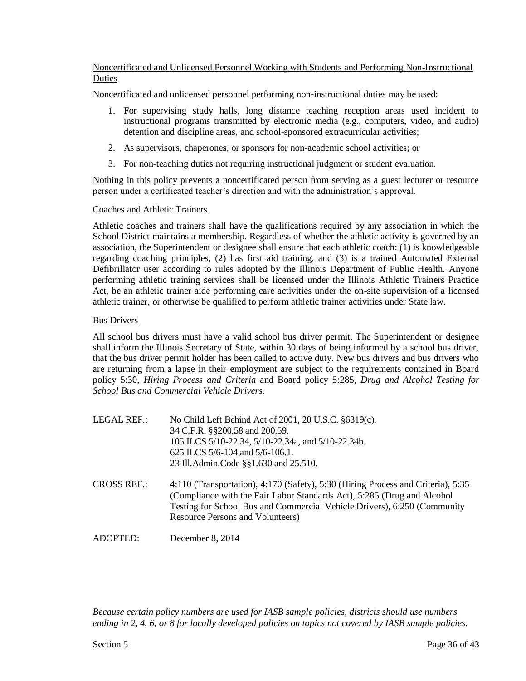## Noncertificated and Unlicensed Personnel Working with Students and Performing Non-Instructional Duties

Noncertificated and unlicensed personnel performing non-instructional duties may be used:

- 1. For supervising study halls, long distance teaching reception areas used incident to instructional programs transmitted by electronic media (e.g., computers, video, and audio) detention and discipline areas, and school-sponsored extracurricular activities;
- 2. As supervisors, chaperones, or sponsors for non-academic school activities; or
- 3. For non-teaching duties not requiring instructional judgment or student evaluation.

Nothing in this policy prevents a noncertificated person from serving as a guest lecturer or resource person under a certificated teacher's direction and with the administration's approval.

#### Coaches and Athletic Trainers

Athletic coaches and trainers shall have the qualifications required by any association in which the School District maintains a membership. Regardless of whether the athletic activity is governed by an association, the Superintendent or designee shall ensure that each athletic coach: (1) is knowledgeable regarding coaching principles, (2) has first aid training, and (3) is a trained Automated External Defibrillator user according to rules adopted by the Illinois Department of Public Health. Anyone performing athletic training services shall be licensed under the Illinois Athletic Trainers Practice Act, be an athletic trainer aide performing care activities under the on-site supervision of a licensed athletic trainer, or otherwise be qualified to perform athletic trainer activities under State law.

#### Bus Drivers

All school bus drivers must have a valid school bus driver permit. The Superintendent or designee shall inform the Illinois Secretary of State, within 30 days of being informed by a school bus driver, that the bus driver permit holder has been called to active duty. New bus drivers and bus drivers who are returning from a lapse in their employment are subject to the requirements contained in Board policy 5:30, *Hiring Process and Criteria* and Board policy 5:285, *Drug and Alcohol Testing for School Bus and Commercial Vehicle Drivers.*

| LEGAL REF.:        | No Child Left Behind Act of 2001, 20 U.S.C. §6319(c).                                                                                                                                                                                                                              |
|--------------------|------------------------------------------------------------------------------------------------------------------------------------------------------------------------------------------------------------------------------------------------------------------------------------|
|                    | 34 C.F.R. §§200.58 and 200.59.                                                                                                                                                                                                                                                     |
|                    | 105 ILCS 5/10-22.34, 5/10-22.34a, and 5/10-22.34b.                                                                                                                                                                                                                                 |
|                    | 625 ILCS $5/6$ -104 and $5/6$ -106.1.                                                                                                                                                                                                                                              |
|                    | 23 Ill. Admin. Code §§1.630 and 25.510.                                                                                                                                                                                                                                            |
| <b>CROSS REF.:</b> | 4:110 (Transportation), 4:170 (Safety), 5:30 (Hiring Process and Criteria), 5:35<br>(Compliance with the Fair Labor Standards Act), 5:285 (Drug and Alcohol<br>Testing for School Bus and Commercial Vehicle Drivers), 6:250 (Community<br><b>Resource Persons and Volunteers)</b> |
| ADOPTED:           | December $8, 2014$                                                                                                                                                                                                                                                                 |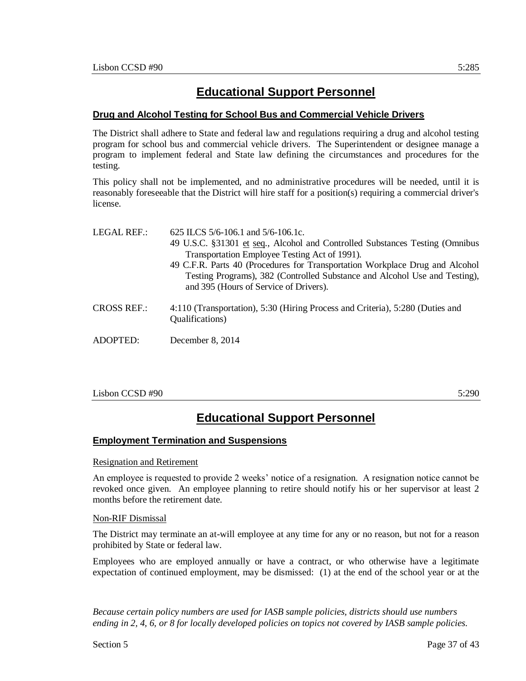# **Educational Support Personnel**

#### **Drug and Alcohol Testing for School Bus and Commercial Vehicle Drivers**

The District shall adhere to State and federal law and regulations requiring a drug and alcohol testing program for school bus and commercial vehicle drivers. The Superintendent or designee manage a program to implement federal and State law defining the circumstances and procedures for the testing.

This policy shall not be implemented, and no administrative procedures will be needed, until it is reasonably foreseeable that the District will hire staff for a position(s) requiring a commercial driver's license.

| <b>LEGAL REF.:</b> | 625 ILCS 5/6-106.1 and 5/6-106.1c.                                                                                   |
|--------------------|----------------------------------------------------------------------------------------------------------------------|
|                    | 49 U.S.C. §31301 et seq., Alcohol and Controlled Substances Testing (Omnibus                                         |
|                    | Transportation Employee Testing Act of 1991).                                                                        |
|                    | 49 C.F.R. Parts 40 (Procedures for Transportation Workplace Drug and Alcohol                                         |
|                    | Testing Programs), 382 (Controlled Substance and Alcohol Use and Testing),<br>and 395 (Hours of Service of Drivers). |
|                    |                                                                                                                      |
| <b>CROSS REF.:</b> | 4:110 (Transportation), 5:30 (Hiring Process and Criteria), 5:280 (Duties and<br>Qualifications)                     |
| ADOPTED:           | December 8, 2014                                                                                                     |

#### $\sim$  5:290 5:290

## **Educational Support Personnel**

#### **Employment Termination and Suspensions**

#### Resignation and Retirement

An employee is requested to provide 2 weeks' notice of a resignation. A resignation notice cannot be revoked once given. An employee planning to retire should notify his or her supervisor at least 2 months before the retirement date.

#### Non-RIF Dismissal

The District may terminate an at-will employee at any time for any or no reason, but not for a reason prohibited by State or federal law.

Employees who are employed annually or have a contract, or who otherwise have a legitimate expectation of continued employment, may be dismissed: (1) at the end of the school year or at the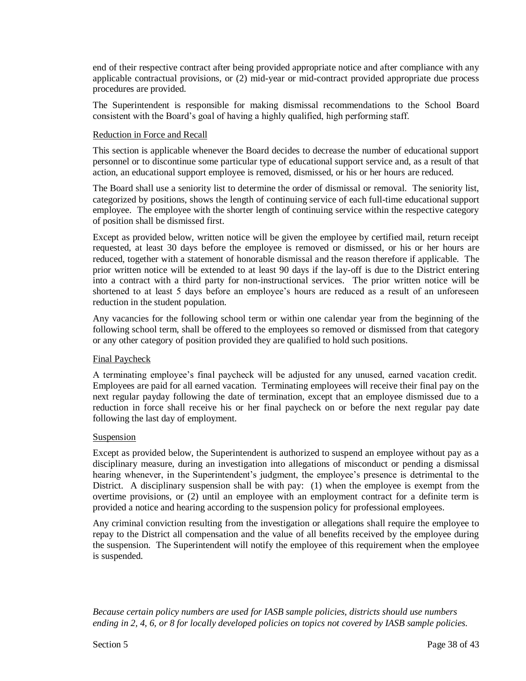end of their respective contract after being provided appropriate notice and after compliance with any applicable contractual provisions, or (2) mid-year or mid-contract provided appropriate due process procedures are provided.

The Superintendent is responsible for making dismissal recommendations to the School Board consistent with the Board's goal of having a highly qualified, high performing staff.

#### Reduction in Force and Recall

This section is applicable whenever the Board decides to decrease the number of educational support personnel or to discontinue some particular type of educational support service and, as a result of that action, an educational support employee is removed, dismissed, or his or her hours are reduced.

The Board shall use a seniority list to determine the order of dismissal or removal. The seniority list, categorized by positions, shows the length of continuing service of each full-time educational support employee. The employee with the shorter length of continuing service within the respective category of position shall be dismissed first.

Except as provided below, written notice will be given the employee by certified mail, return receipt requested, at least 30 days before the employee is removed or dismissed, or his or her hours are reduced, together with a statement of honorable dismissal and the reason therefore if applicable. The prior written notice will be extended to at least 90 days if the lay-off is due to the District entering into a contract with a third party for non-instructional services. The prior written notice will be shortened to at least 5 days before an employee's hours are reduced as a result of an unforeseen reduction in the student population.

Any vacancies for the following school term or within one calendar year from the beginning of the following school term, shall be offered to the employees so removed or dismissed from that category or any other category of position provided they are qualified to hold such positions.

#### Final Paycheck

A terminating employee's final paycheck will be adjusted for any unused, earned vacation credit. Employees are paid for all earned vacation. Terminating employees will receive their final pay on the next regular payday following the date of termination, except that an employee dismissed due to a reduction in force shall receive his or her final paycheck on or before the next regular pay date following the last day of employment.

#### Suspension

Except as provided below, the Superintendent is authorized to suspend an employee without pay as a disciplinary measure, during an investigation into allegations of misconduct or pending a dismissal hearing whenever, in the Superintendent's judgment, the employee's presence is detrimental to the District. A disciplinary suspension shall be with pay: (1) when the employee is exempt from the overtime provisions, or (2) until an employee with an employment contract for a definite term is provided a notice and hearing according to the suspension policy for professional employees.

Any criminal conviction resulting from the investigation or allegations shall require the employee to repay to the District all compensation and the value of all benefits received by the employee during the suspension. The Superintendent will notify the employee of this requirement when the employee is suspended.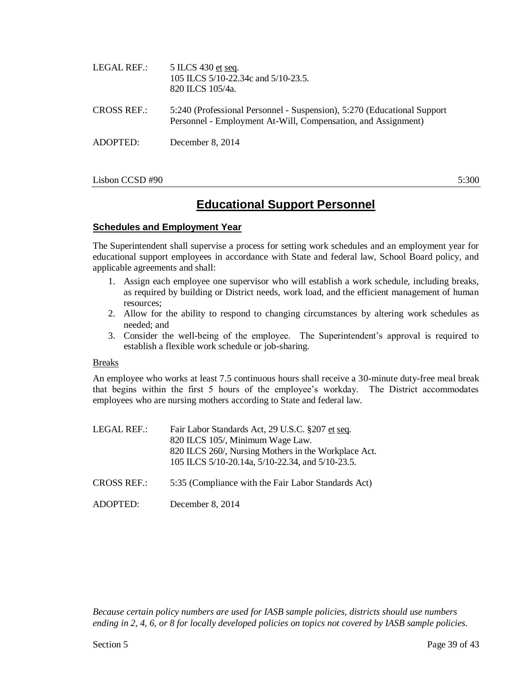| LEGAL REF.:        | 5 ILCS 430 et seq.<br>105 ILCS 5/10-22.34c and 5/10-23.5.<br>820 ILCS 105/4a.                                                            |
|--------------------|------------------------------------------------------------------------------------------------------------------------------------------|
| <b>CROSS REF.:</b> | 5:240 (Professional Personnel - Suspension), 5:270 (Educational Support<br>Personnel - Employment At-Will, Compensation, and Assignment) |
| ADOPTED:           | December $8, 2014$                                                                                                                       |

#### Lisbon CCSD #90 5:300

# **Educational Support Personnel**

#### **Schedules and Employment Year**

The Superintendent shall supervise a process for setting work schedules and an employment year for educational support employees in accordance with State and federal law, School Board policy, and applicable agreements and shall:

- 1. Assign each employee one supervisor who will establish a work schedule, including breaks, as required by building or District needs, work load, and the efficient management of human resources;
- 2. Allow for the ability to respond to changing circumstances by altering work schedules as needed; and
- 3. Consider the well-being of the employee. The Superintendent's approval is required to establish a flexible work schedule or job-sharing.

#### Breaks

An employee who works at least 7.5 continuous hours shall receive a 30-minute duty-free meal break that begins within the first 5 hours of the employee's workday. The District accommodates employees who are nursing mothers according to State and federal law.

| LEGAL REF.:        | Fair Labor Standards Act, 29 U.S.C. §207 et seq.<br>820 ILCS 105/, Minimum Wage Law.<br>820 ILCS 260/, Nursing Mothers in the Workplace Act.<br>105 ILCS 5/10-20.14a, 5/10-22.34, and 5/10-23.5. |
|--------------------|--------------------------------------------------------------------------------------------------------------------------------------------------------------------------------------------------|
| <b>CROSS REF.:</b> | 5:35 (Compliance with the Fair Labor Standards Act)                                                                                                                                              |

ADOPTED: December 8, 2014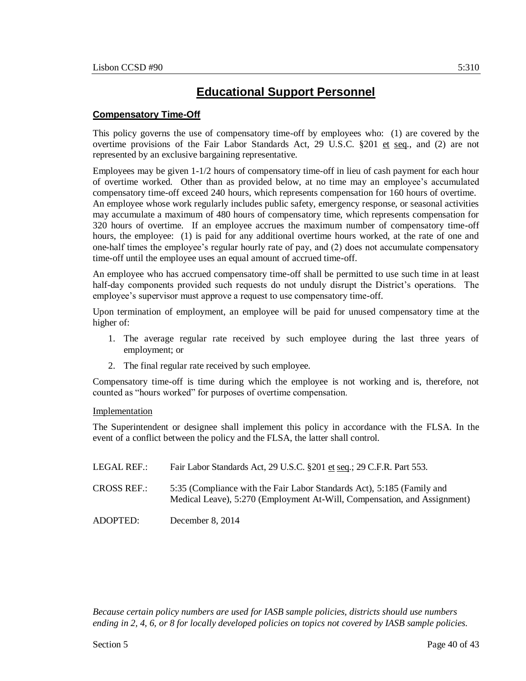# **Educational Support Personnel**

### **Compensatory Time-Off**

This policy governs the use of compensatory time-off by employees who: (1) are covered by the overtime provisions of the Fair Labor Standards Act, 29 U.S.C. §201 et seq., and (2) are not represented by an exclusive bargaining representative.

Employees may be given 1-1/2 hours of compensatory time-off in lieu of cash payment for each hour of overtime worked. Other than as provided below, at no time may an employee's accumulated compensatory time-off exceed 240 hours, which represents compensation for 160 hours of overtime. An employee whose work regularly includes public safety, emergency response, or seasonal activities may accumulate a maximum of 480 hours of compensatory time, which represents compensation for 320 hours of overtime. If an employee accrues the maximum number of compensatory time-off hours, the employee: (1) is paid for any additional overtime hours worked, at the rate of one and one-half times the employee's regular hourly rate of pay, and (2) does not accumulate compensatory time-off until the employee uses an equal amount of accrued time-off.

An employee who has accrued compensatory time-off shall be permitted to use such time in at least half-day components provided such requests do not unduly disrupt the District's operations. The employee's supervisor must approve a request to use compensatory time-off.

Upon termination of employment, an employee will be paid for unused compensatory time at the higher of:

- 1. The average regular rate received by such employee during the last three years of employment; or
- 2. The final regular rate received by such employee.

Compensatory time-off is time during which the employee is not working and is, therefore, not counted as "hours worked" for purposes of overtime compensation.

#### Implementation

The Superintendent or designee shall implement this policy in accordance with the FLSA. In the event of a conflict between the policy and the FLSA, the latter shall control.

| LEGAL REF.:        | Fair Labor Standards Act, 29 U.S.C. §201 et seq.; 29 C.F.R. Part 553.                                                                              |
|--------------------|----------------------------------------------------------------------------------------------------------------------------------------------------|
| <b>CROSS REF.:</b> | 5:35 (Compliance with the Fair Labor Standards Act), 5:185 (Family and<br>Medical Leave), 5:270 (Employment At-Will, Compensation, and Assignment) |
| ADOPTED:           | December 8, 2014                                                                                                                                   |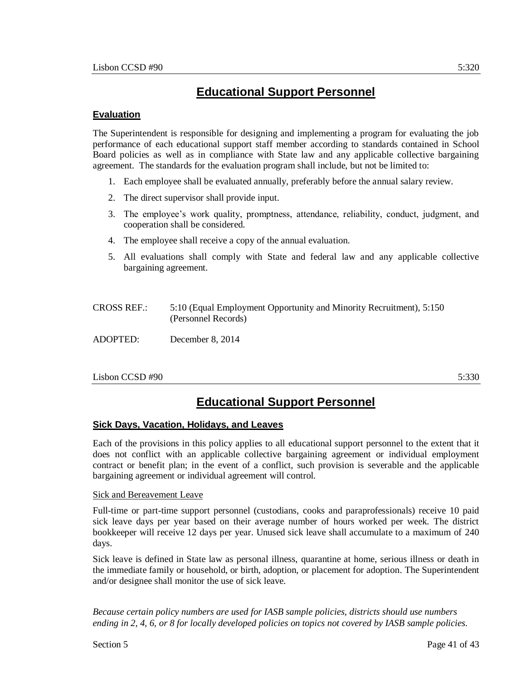# **Educational Support Personnel**

#### **Evaluation**

The Superintendent is responsible for designing and implementing a program for evaluating the job performance of each educational support staff member according to standards contained in School Board policies as well as in compliance with State law and any applicable collective bargaining agreement. The standards for the evaluation program shall include, but not be limited to:

- 1. Each employee shall be evaluated annually, preferably before the annual salary review.
- 2. The direct supervisor shall provide input.
- 3. The employee's work quality, promptness, attendance, reliability, conduct, judgment, and cooperation shall be considered.
- 4. The employee shall receive a copy of the annual evaluation.
- 5. All evaluations shall comply with State and federal law and any applicable collective bargaining agreement.

| <b>CROSS REF.:</b> | 5:10 (Equal Employment Opportunity and Minority Recruitment), 5:150 |
|--------------------|---------------------------------------------------------------------|
|                    | (Personnel Records)                                                 |

ADOPTED: December 8, 2014

#### $\sim$  5:330 5:330

## **Educational Support Personnel**

#### **Sick Days, Vacation, Holidays, and Leaves**

Each of the provisions in this policy applies to all educational support personnel to the extent that it does not conflict with an applicable collective bargaining agreement or individual employment contract or benefit plan; in the event of a conflict, such provision is severable and the applicable bargaining agreement or individual agreement will control.

#### Sick and Bereavement Leave

Full-time or part-time support personnel (custodians, cooks and paraprofessionals) receive 10 paid sick leave days per year based on their average number of hours worked per week. The district bookkeeper will receive 12 days per year. Unused sick leave shall accumulate to a maximum of 240 days.

Sick leave is defined in State law as personal illness, quarantine at home, serious illness or death in the immediate family or household, or birth, adoption, or placement for adoption. The Superintendent and/or designee shall monitor the use of sick leave.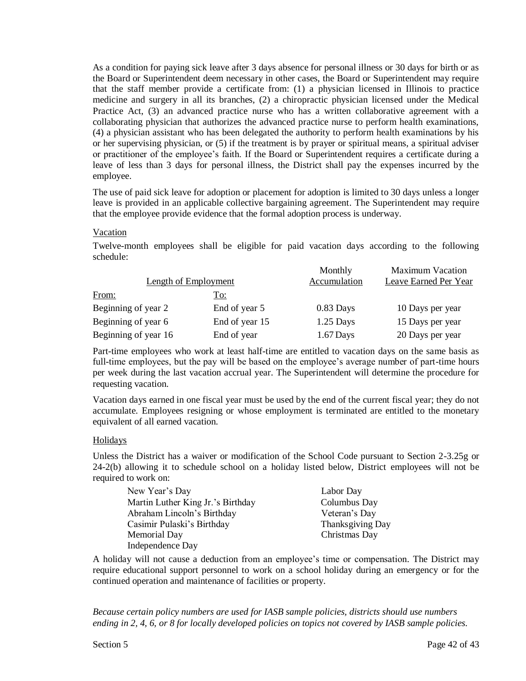As a condition for paying sick leave after 3 days absence for personal illness or 30 days for birth or as the Board or Superintendent deem necessary in other cases, the Board or Superintendent may require that the staff member provide a certificate from: (1) a physician licensed in Illinois to practice medicine and surgery in all its branches, (2) a chiropractic physician licensed under the Medical Practice Act, (3) an advanced practice nurse who has a written collaborative agreement with a collaborating physician that authorizes the advanced practice nurse to perform health examinations, (4) a physician assistant who has been delegated the authority to perform health examinations by his or her supervising physician, or (5) if the treatment is by prayer or spiritual means, a spiritual adviser or practitioner of the employee's faith. If the Board or Superintendent requires a certificate during a leave of less than 3 days for personal illness, the District shall pay the expenses incurred by the employee.

The use of paid sick leave for adoption or placement for adoption is limited to 30 days unless a longer leave is provided in an applicable collective bargaining agreement. The Superintendent may require that the employee provide evidence that the formal adoption process is underway.

#### Vacation

Twelve-month employees shall be eligible for paid vacation days according to the following schedule:

|                             |                | Monthly      | <b>Maximum Vacation</b>      |
|-----------------------------|----------------|--------------|------------------------------|
| <b>Length of Employment</b> |                | Accumulation | <b>Leave Earned Per Year</b> |
| From:                       | To:            |              |                              |
| Beginning of year 2         | End of year 5  | $0.83$ Days  | 10 Days per year             |
| Beginning of year 6         | End of year 15 | $1.25$ Days  | 15 Days per year             |
| Beginning of year 16        | End of year    | $1.67$ Days  | 20 Days per year             |

Part-time employees who work at least half-time are entitled to vacation days on the same basis as full-time employees, but the pay will be based on the employee's average number of part-time hours per week during the last vacation accrual year. The Superintendent will determine the procedure for requesting vacation.

Vacation days earned in one fiscal year must be used by the end of the current fiscal year; they do not accumulate. Employees resigning or whose employment is terminated are entitled to the monetary equivalent of all earned vacation.

#### **Holidays**

Unless the District has a waiver or modification of the School Code pursuant to Section 2-3.25g or 24-2(b) allowing it to schedule school on a holiday listed below, District employees will not be required to work on:

| New Year's Day                    | Labor Day        |
|-----------------------------------|------------------|
| Martin Luther King Jr.'s Birthday | Columbus Day     |
| Abraham Lincoln's Birthday        | Veteran's Day    |
| Casimir Pulaski's Birthday        | Thanksgiving Day |
| Memorial Day                      | Christmas Day    |
| Independence Day                  |                  |

A holiday will not cause a deduction from an employee's time or compensation. The District may require educational support personnel to work on a school holiday during an emergency or for the continued operation and maintenance of facilities or property.